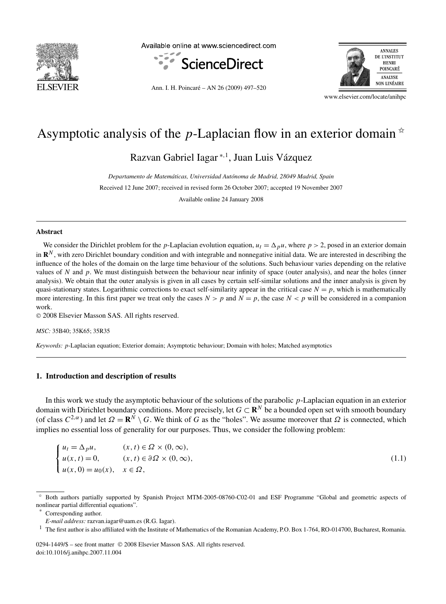

Available online at www.sciencedirect.com



Ann. I. H. Poincaré – AN 26 (2009) 497–520



www.elsevier.com/locate/anihpc

# Asymptotic analysis of the *p*-Laplacian flow in an exterior domain  $*$

Razvan Gabriel Iagar <sup>∗</sup>*,*<sup>1</sup> , Juan Luis Vázquez

*Departamento de Matemáticas, Universidad Autónoma de Madrid, 28049 Madrid, Spain*

Received 12 June 2007; received in revised form 26 October 2007; accepted 19 November 2007

Available online 24 January 2008

# **Abstract**

We consider the Dirichlet problem for the *p*-Laplacian evolution equation,  $u_t = \Delta_p u$ , where  $p > 2$ , posed in an exterior domain in  $\mathbb{R}^N$ , with zero Dirichlet boundary condition and with integrable and nonnegative initial data. We are interested in describing the influence of the holes of the domain on the large time behaviour of the solutions. Such behaviour varies depending on the relative values of *N* and *p*. We must distinguish between the behaviour near infinity of space (outer analysis), and near the holes (inner analysis). We obtain that the outer analysis is given in all cases by certain self-similar solutions and the inner analysis is given by quasi-stationary states. Logarithmic corrections to exact self-similarity appear in the critical case  $N = p$ , which is mathematically more interesting. In this first paper we treat only the cases  $N > p$  and  $N = p$ , the case  $N < p$  will be considered in a companion work.

© 2008 Elsevier Masson SAS. All rights reserved.

*MSC:* 35B40; 35K65; 35R35

*Keywords: p*-Laplacian equation; Exterior domain; Asymptotic behaviour; Domain with holes; Matched asymptotics

# **1. Introduction and description of results**

In this work we study the asymptotic behaviour of the solutions of the parabolic *p*-Laplacian equation in an exterior domain with Dirichlet boundary conditions. More precisely, let  $G \subset \mathbb{R}^N$  be a bounded open set with smooth boundary (of class  $C^{2,\alpha}$ ) and let  $\Omega = \mathbb{R}^N \setminus G$ . We think of *G* as the "holes". We assume moreover that  $\Omega$  is connected, which implies no essential loss of generality for our purposes. Thus, we consider the following problem:

$$
\begin{cases}\n u_t = \Delta_p u, & (x, t) \in \Omega \times (0, \infty), \\
 u(x, t) = 0, & (x, t) \in \partial \Omega \times (0, \infty), \\
 u(x, 0) = u_0(x), & x \in \Omega,\n\end{cases}
$$
\n(1.1)

Corresponding author.

0294-1449/\$ – see front matter © 2008 Elsevier Masson SAS. All rights reserved. doi:10.1016/j.anihpc.2007.11.004

<sup>✩</sup> Both authors partially supported by Spanish Project MTM-2005-08760-C02-01 and ESF Programme "Global and geometric aspects of nonlinear partial differential equations".

*E-mail address:* razvan.iagar@uam.es (R.G. Iagar).

<sup>&</sup>lt;sup>1</sup> The first author is also affiliated with the Institute of Mathematics of the Romanian Academy, P.O. Box 1-764, RO-014700, Bucharest, Romania.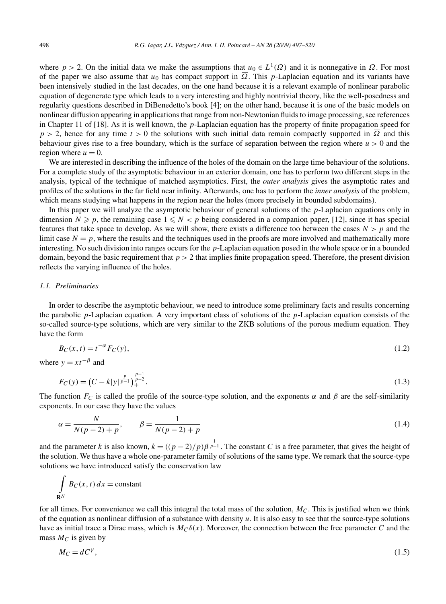where  $p > 2$ . On the initial data we make the assumptions that  $u_0 \in L^1(\Omega)$  and it is nonnegative in  $\Omega$ . For most of the paper we also assume that  $u_0$  has compact support in  $\overline{\Omega}$ . This *p*-Laplacian equation and its variants have been intensively studied in the last decades, on the one hand because it is a relevant example of nonlinear parabolic equation of degenerate type which leads to a very interesting and highly nontrivial theory, like the well-posedness and regularity questions described in DiBenedetto's book [4]; on the other hand, because it is one of the basic models on nonlinear diffusion appearing in applications that range from non-Newtonian fluids to image processing, see references in Chapter 11 of [18]. As it is well known, the *p*-Laplacian equation has the property of finite propagation speed for  $p > 2$ , hence for any time  $t > 0$  the solutions with such initial data remain compactly supported in  $\overline{\Omega}$  and this behaviour gives rise to a free boundary, which is the surface of separation between the region where *u >* 0 and the region where  $u = 0$ .

We are interested in describing the influence of the holes of the domain on the large time behaviour of the solutions. For a complete study of the asymptotic behaviour in an exterior domain, one has to perform two different steps in the analysis, typical of the technique of matched asymptotics. First, the *outer analysis* gives the asymptotic rates and profiles of the solutions in the far field near infinity. Afterwards, one has to perform the *inner analysis* of the problem, which means studying what happens in the region near the holes (more precisely in bounded subdomains).

In this paper we will analyze the asymptotic behaviour of general solutions of the *p*-Laplacian equations only in dimension  $N \geq p$ , the remaining case  $1 \leq N < p$  being considered in a companion paper, [12], since it has special features that take space to develop. As we will show, there exists a difference too between the cases  $N > p$  and the limit case  $N = p$ , where the results and the techniques used in the proofs are more involved and mathematically more interesting. No such division into ranges occurs for the *p*-Laplacian equation posed in the whole space or in a bounded domain, beyond the basic requirement that  $p > 2$  that implies finite propagation speed. Therefore, the present division reflects the varying influence of the holes.

#### *1.1. Preliminaries*

In order to describe the asymptotic behaviour, we need to introduce some preliminary facts and results concerning the parabolic *p*-Laplacian equation. A very important class of solutions of the *p*-Laplacian equation consists of the so-called source-type solutions, which are very similar to the ZKB solutions of the porous medium equation. They have the form

$$
B_C(x,t) = t^{-\alpha} F_C(y),\tag{1.2}
$$

where  $y = x t^{-\beta}$  and

$$
F_C(y) = \left(C - k|y|^{\frac{p}{p-1}}\right)_+^{\frac{p-1}{p-2}}.\tag{1.3}
$$

The function  $F_C$  is called the profile of the source-type solution, and the exponents  $\alpha$  and  $\beta$  are the self-similarity exponents. In our case they have the values

$$
\alpha = \frac{N}{N(p-2) + p}, \qquad \beta = \frac{1}{N(p-2) + p} \tag{1.4}
$$

and the parameter *k* is also known,  $k = ((p-2)/p)\beta^{\frac{1}{p-1}}$ . The constant *C* is a free parameter, that gives the height of the solution. We thus have a whole one-parameter family of solutions of the same type. We remark that the source-type solutions we have introduced satisfy the conservation law

$$
\int_{\mathbf{R}^N} B_C(x, t) \, dx = \text{constant}
$$

for all times. For convenience we call this integral the total mass of the solution,  $M<sub>C</sub>$ . This is justified when we think of the equation as nonlinear diffusion of a substance with density *u*. It is also easy to see that the source-type solutions have as initial trace a Dirac mass, which is  $M_C \delta(x)$ . Moreover, the connection between the free parameter *C* and the mass  $M_C$  is given by

$$
M_C = dC^\gamma,\tag{1.5}
$$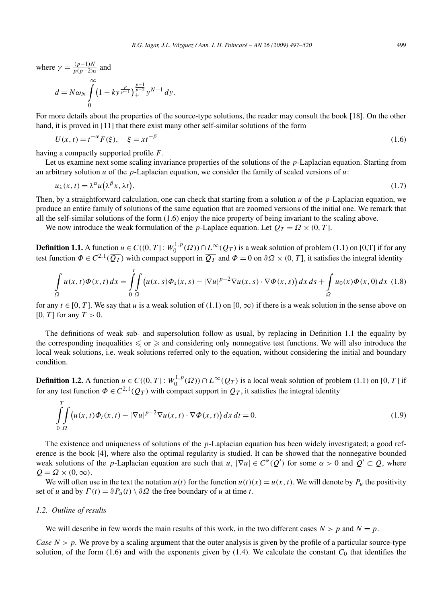where 
$$
\gamma = \frac{(p-1)N}{p(p-2)\alpha}
$$
 and

$$
d = N\omega_N \int\limits_0^\infty \left(1 - k y^{\frac{p}{p-1}}\right)_+^{\frac{p-1}{p-2}} y^{N-1} dy.
$$

For more details about the properties of the source-type solutions, the reader may consult the book [18]. On the other hand, it is proved in [11] that there exist many other self-similar solutions of the form

$$
U(x,t) = t^{-\alpha} F(\xi), \quad \xi = xt^{-\beta}
$$
 (1.6)

having a compactly supported profile *F*.

Let us examine next some scaling invariance properties of the solutions of the *p*-Laplacian equation. Starting from an arbitrary solution *u* of the *p*-Laplacian equation, we consider the family of scaled versions of *u*:

$$
u_{\lambda}(x,t) = \lambda^{\alpha} u(\lambda^{\beta} x, \lambda t). \tag{1.7}
$$

Then, by a straightforward calculation, one can check that starting from a solution *u* of the *p*-Laplacian equation, we produce an entire family of solutions of the same equation that are zoomed versions of the initial one. We remark that all the self-similar solutions of the form (1.6) enjoy the nice property of being invariant to the scaling above.

We now introduce the weak formulation of the *p*-Laplace equation. Let  $Q_T = \Omega \times (0, T]$ .

**Definition 1.1.** A function  $u \in C((0, T]: W_0^{1, p}(\Omega)) \cap L^{\infty}(Q_T)$  is a weak solution of problem (1.1) on [0,T] if for any test function  $\Phi \in C^{2,1}(\overline{Q_T})$  with compact support in  $\overline{Q_T}$  and  $\Phi = 0$  on  $\partial\Omega \times (0,T]$ , it satisfies the integral identity

$$
\int_{\Omega} u(x,t)\Phi(x,t) dx = \int_{0}^{t} \int_{\Omega} \left( u(x,s)\Phi_s(x,s) - |\nabla u|^{p-2} \nabla u(x,s) \cdot \nabla \Phi(x,s) \right) dx ds + \int_{\Omega} u_0(x)\Phi(x,0) dx
$$
 (1.8)

for any  $t \in [0, T]$ . We say that *u* is a weak solution of (1.1) on [0, ∞) if there is a weak solution in the sense above on [0*, T* ] for any *T >* 0.

The definitions of weak sub- and supersolution follow as usual, by replacing in Definition 1.1 the equality by the corresponding inequalities  $\leqslant$  or  $\geqslant$  and considering only nonnegative test functions. We will also introduce the local weak solutions, i.e. weak solutions referred only to the equation, without considering the initial and boundary condition.

**Definition 1.2.** A function  $u \in C((0, T]: W_0^{1,p}(\Omega)) \cap L^\infty(Q_T)$  is a local weak solution of problem (1.1) on [0, T] if for any test function  $\Phi \in C^{2,1}(Q_T)$  with compact support in  $Q_T$ , it satisfies the integral identity

$$
\int_{0}^{T} \int_{\Omega} \left( u(x,t) \Phi_t(x,t) - |\nabla u|^{p-2} \nabla u(x,t) \cdot \nabla \Phi(x,t) \right) dx \, dt = 0. \tag{1.9}
$$

The existence and uniqueness of solutions of the *p*-Laplacian equation has been widely investigated; a good reference is the book [4], where also the optimal regularity is studied. It can be showed that the nonnegative bounded weak solutions of the *p*-Laplacian equation are such that  $u$ ,  $|\nabla u| \in C^{\alpha}(Q')$  for some  $\alpha > 0$  and  $Q' \subset Q$ , where  $Q = \Omega \times (0, \infty)$ .

We will often use in the text the notation  $u(t)$  for the function  $u(t)(x) = u(x, t)$ . We will denote by  $P_u$  the positivity set of *u* and by  $\Gamma(t) = \partial P_u(t) \setminus \partial \Omega$  the free boundary of *u* at time *t*.

#### *1.2. Outline of results*

We will describe in few words the main results of this work, in the two different cases  $N > p$  and  $N = p$ .

*Case*  $N > p$ . We prove by a scaling argument that the outer analysis is given by the profile of a particular source-type solution, of the form  $(1.6)$  and with the exponents given by  $(1.4)$ . We calculate the constant  $C_0$  that identifies the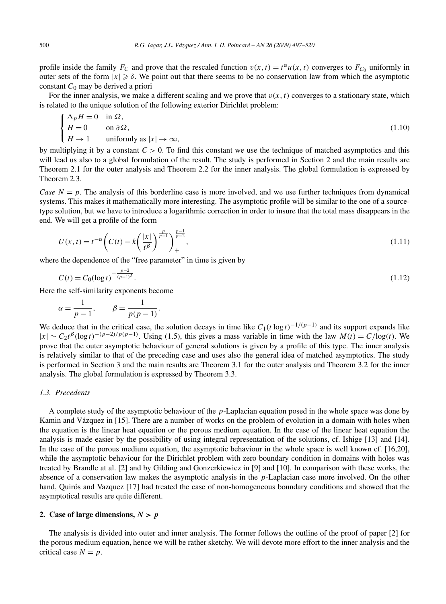profile inside the family  $F_C$  and prove that the rescaled function  $v(x, t) = t^{\alpha}u(x, t)$  converges to  $F_{C_0}$  uniformly in outer sets of the form  $|x| \ge \delta$ . We point out that there seems to be no conservation law from which the asymptotic constant *C*<sup>0</sup> may be derived a priori

For the inner analysis, we make a different scaling and we prove that  $v(x, t)$  converges to a stationary state, which is related to the unique solution of the following exterior Dirichlet problem:

$$
\begin{cases}\n\Delta_p H = 0 & \text{in } \Omega, \\
H = 0 & \text{on } \partial \Omega, \\
H \to 1 & \text{uniformly as } |x| \to \infty,\n\end{cases}
$$
\n(1.10)

by multiplying it by a constant  $C > 0$ . To find this constant we use the technique of matched asymptotics and this will lead us also to a global formulation of the result. The study is performed in Section 2 and the main results are Theorem 2.1 for the outer analysis and Theorem 2.2 for the inner analysis. The global formulation is expressed by Theorem 2.3.

*Case*  $N = p$ . The analysis of this borderline case is more involved, and we use further techniques from dynamical systems. This makes it mathematically more interesting. The asymptotic profile will be similar to the one of a sourcetype solution, but we have to introduce a logarithmic correction in order to insure that the total mass disappears in the end. We will get a profile of the form

$$
U(x,t) = t^{-\alpha} \left( C(t) - k \left( \frac{|x|}{t^{\beta}} \right)^{\frac{p}{p-1}} \right)_{+}^{\frac{p-1}{p-2}}, \tag{1.11}
$$

where the dependence of the "free parameter" in time is given by

$$
C(t) = C_0(\log t)^{-\frac{p-2}{(p-1)^2}}.
$$
\n(1.12)

Here the self-similarity exponents become

$$
\alpha = \frac{1}{p-1}, \qquad \beta = \frac{1}{p(p-1)}.
$$

We deduce that in the critical case, the solution decays in time like  $C_1(t \log t)^{-1/(p-1)}$  and its support expands like  $|x|$  ∼  $C_2t^{\beta}(\log t)^{-(p-2)/p(p-1)}$ . Using (1.5), this gives a mass variable in time with the law  $M(t) = C/\log(t)$ . We prove that the outer asymptotic behaviour of general solutions is given by a profile of this type. The inner analysis is relatively similar to that of the preceding case and uses also the general idea of matched asymptotics. The study is performed in Section 3 and the main results are Theorem 3.1 for the outer analysis and Theorem 3.2 for the inner analysis. The global formulation is expressed by Theorem 3.3.

# *1.3. Precedents*

A complete study of the asymptotic behaviour of the *p*-Laplacian equation posed in the whole space was done by Kamin and Vázquez in [15]. There are a number of works on the problem of evolution in a domain with holes when the equation is the linear heat equation or the porous medium equation. In the case of the linear heat equation the analysis is made easier by the possibility of using integral representation of the solutions, cf. Ishige [13] and [14]. In the case of the porous medium equation, the asymptotic behaviour in the whole space is well known cf. [16,20], while the asymptotic behaviour for the Dirichlet problem with zero boundary condition in domains with holes was treated by Brandle at al. [2] and by Gilding and Gonzerkiewicz in [9] and [10]. In comparison with these works, the absence of a conservation law makes the asymptotic analysis in the *p*-Laplacian case more involved. On the other hand, Quirós and Vazquez [17] had treated the case of non-homogeneous boundary conditions and showed that the asymptotical results are quite different.

# **2.** Case of large dimensions,  $N > p$

The analysis is divided into outer and inner analysis. The former follows the outline of the proof of paper [2] for the porous medium equation, hence we will be rather sketchy. We will devote more effort to the inner analysis and the critical case  $N = p$ .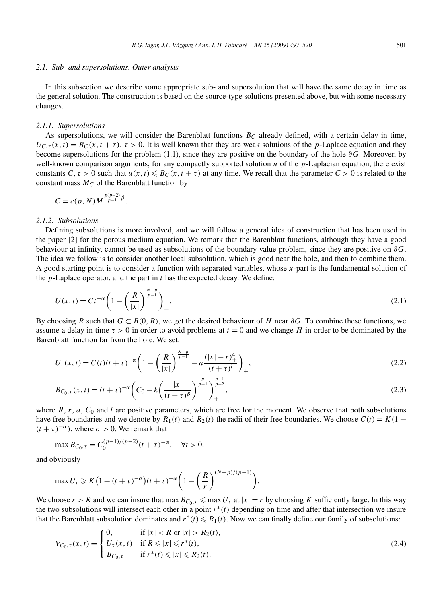#### *2.1. Sub- and supersolutions. Outer analysis*

In this subsection we describe some appropriate sub- and supersolution that will have the same decay in time as the general solution. The construction is based on the source-type solutions presented above, but with some necessary changes.

## *2.1.1. Supersolutions*

As supersolutions, we will consider the Barenblatt functions  $B<sub>C</sub>$  already defined, with a certain delay in time,  $U_{C,\tau}(x,t) = B_C(x,t+\tau)$ ,  $\tau > 0$ . It is well known that they are weak solutions of the *p*-Laplace equation and they become supersolutions for the problem (1.1), since they are positive on the boundary of the hole *∂G*. Moreover, by well-known comparison arguments, for any compactly supported solution *u* of the *p*-Laplacian equation, there exist constants  $C, \tau > 0$  such that  $u(x, t) \leq B_C(x, t + \tau)$  at any time. We recall that the parameter  $C > 0$  is related to the constant mass  $M_C$  of the Barenblatt function by

$$
C=c(p,N)M^{\frac{p(p-2)}{p-1}\beta}.
$$

#### *2.1.2. Subsolutions*

Defining subsolutions is more involved, and we will follow a general idea of construction that has been used in the paper [2] for the porous medium equation. We remark that the Barenblatt functions, although they have a good behaviour at infinity, cannot be used as subsolutions of the boundary value problem, since they are positive on *∂G*. The idea we follow is to consider another local subsolution, which is good near the hole, and then to combine them. A good starting point is to consider a function with separated variables, whose *x*-part is the fundamental solution of the *p*-Laplace operator, and the part in *t* has the expected decay. We define:

$$
U(x,t) = Ct^{-\alpha} \left(1 - \left(\frac{R}{|x|}\right)^{\frac{N-p}{p-1}}\right)_+.
$$
\n(2.1)

By choosing *R* such that *G* ⊂ *B(*0*,R)*, we get the desired behaviour of *H* near *∂G*. To combine these functions, we assume a delay in time  $\tau > 0$  in order to avoid problems at  $t = 0$  and we change *H* in order to be dominated by the Barenblatt function far from the hole. We set:

$$
U_{\tau}(x,t) = C(t)(t+\tau)^{-\alpha} \left(1 - \left(\frac{R}{|x|}\right)^{\frac{N-p}{p-1}} - a\frac{(|x|-r)_+^4}{(t+\tau)^l}\right)_+,
$$
\n(2.2)

$$
B_{C_0, \tau}(x, t) = (t + \tau)^{-\alpha} \left( C_0 - k \left( \frac{|x|}{(t + \tau)^{\beta}} \right)^{\frac{p}{p-1}} \right)_{+}^{\frac{p-1}{p-2}},
$$
\n(2.3)

where  $R$ ,  $r$ ,  $a$ ,  $C_0$  and  $l$  are positive parameters, which are free for the moment. We observe that both subsolutions have free boundaries and we denote by  $R_1(t)$  and  $R_2(t)$  the radii of their free boundaries. We choose  $C(t) = K(1 +$  $(t + \tau)^{-\sigma}$ , where  $\sigma > 0$ . We remark that

$$
\max B_{C_0, \tau} = C_0^{(p-1)/(p-2)} (t+\tau)^{-\alpha}, \quad \forall t > 0,
$$

and obviously

$$
\max U_{\tau} \geqslant K\big(1 + (t + \tau)^{-\sigma}\big)(t + \tau)^{-\alpha}\bigg(1 - \bigg(\frac{R}{r}\bigg)^{(N-p)/(p-1)}\bigg).
$$

We choose  $r > R$  and we can insure that max  $B_{C_0, \tau} \le \max U_\tau$  at  $|x| = r$  by choosing *K* sufficiently large. In this way the two subsolutions will intersect each other in a point *r*∗*(t)* depending on time and after that intersection we insure that the Barenblatt subsolution dominates and  $r^*(t) \le R_1(t)$ . Now we can finally define our family of subsolutions:

$$
V_{C_0,\tau}(x,t) = \begin{cases} 0, & \text{if } |x| < R \text{ or } |x| > R_2(t), \\ U_{\tau}(x,t) & \text{if } R \le |x| \le r^*(t), \\ B_{C_0,\tau} & \text{if } r^*(t) \le |x| \le R_2(t). \end{cases}
$$
(2.4)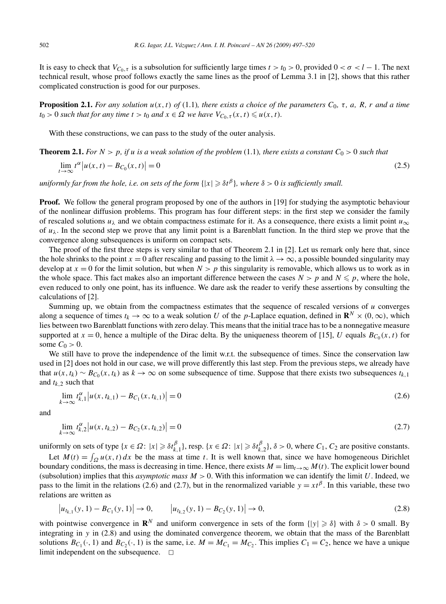It is easy to check that  $V_{C_0, \tau}$  is a subsolution for sufficiently large times  $t > t_0 > 0$ , provided  $0 < \sigma < l - 1$ . The next technical result, whose proof follows exactly the same lines as the proof of Lemma 3.1 in [2], shows that this rather complicated construction is good for our purposes.

**Proposition 2.1.** For any solution  $u(x, t)$  of (1.1), there exists a choice of the parameters  $C_0$ ,  $\tau$ ,  $a$ ,  $R$ ,  $r$  and a time  $t_0 > 0$  *such that for any time*  $t > t_0$  *and*  $x \in \Omega$  *we have*  $V_{C_0, \tau}(x, t) \leq u(x, t)$ *.* 

With these constructions, we can pass to the study of the outer analysis.

**Theorem 2.1.** For  $N > p$ , if *u* is a weak solution of the problem (1.1), there exists a constant  $C_0 > 0$  such that

$$
\lim_{t \to \infty} t^{\alpha} \left| u(x, t) - B_{C_0}(x, t) \right| = 0 \tag{2.5}
$$

 $u$ niformly far from the hole, i.e. on sets of the form  $\{|x|\geqslant \delta t^\beta\}$ , where  $\delta>0$  is sufficiently small.

**Proof.** We follow the general program proposed by one of the authors in [19] for studying the asymptotic behaviour of the nonlinear diffusion problems. This program has four different steps: in the first step we consider the family of rescaled solutions  $u_\lambda$  and we obtain compactness estimate for it. As a consequence, there exists a limit point  $u_\infty$ of  $u_\lambda$ . In the second step we prove that any limit point is a Barenblatt function. In the third step we prove that the convergence along subsequences is uniform on compact sets.

The proof of the first three steps is very similar to that of Theorem 2.1 in [2]. Let us remark only here that, since the hole shrinks to the point  $x = 0$  after rescaling and passing to the limit  $\lambda \to \infty$ , a possible bounded singularity may develop at  $x = 0$  for the limit solution, but when  $N > p$  this singularity is removable, which allows us to work as in the whole space. This fact makes also an important difference between the cases  $N > p$  and  $N \leq p$ , where the hole, even reduced to only one point, has its influence. We dare ask the reader to verify these assertions by consulting the calculations of [2].

Summing up, we obtain from the compactness estimates that the sequence of rescaled versions of  $u$  converges along a sequence of times  $t_k \to \infty$  to a weak solution *U* of the *p*-Laplace equation, defined in  $\mathbb{R}^N \times (0, \infty)$ , which lies between two Barenblatt functions with zero delay. This means that the initial trace has to be a nonnegative measure supported at  $x = 0$ , hence a multiple of the Dirac delta. By the uniqueness theorem of [15], *U* equals  $B_{C_0}(x, t)$  for some  $C_0 > 0$ .

We still have to prove the independence of the limit w.r.t. the subsequence of times. Since the conservation law used in [2] does not hold in our case, we will prove differently this last step. From the previous steps, we already have that  $u(x, t_k) \sim B_{C_0}(x, t_k)$  as  $k \to \infty$  on some subsequence of time. Suppose that there exists two subsequences  $t_{k,1}$ and  $t_{k,2}$  such that

$$
\lim_{k \to \infty} t_{k,1}^{\alpha} |u(x, t_{k,1}) - B_{C_1}(x, t_{k,1})| = 0
$$
\n(2.6)

and

$$
\lim_{k \to \infty} t_{k,2}^{\alpha} |u(x, t_{k,2}) - B_{C_2}(x, t_{k,2})| = 0
$$
\n(2.7)

uniformly on sets of type  $\{x \in \Omega : |x| \geq \delta t_{k,1}^{\beta}\}$ , resp.  $\{x \in \Omega : |x| \geq \delta t_{k,2}^{\beta}\}$ ,  $\delta > 0$ , where  $C_1$ ,  $C_2$  are positive constants. Let  $M(t) = \int_{\Omega} u(x, t) dx$  be the mass at time *t*. It is well known that, since we have homogeneous Dirichlet boundary conditions, the mass is decreasing in time. Hence, there exists  $M = \lim_{t\to\infty} M(t)$ . The explicit lower bound (subsolution) implies that this *asymptotic mass M >* 0. With this information we can identify the limit *U*. Indeed, we pass to the limit in the relations (2.6) and (2.7), but in the renormalized variable  $y = xt^{\beta}$ . In this variable, these two relations are written as

$$
\left|u_{t_{k,1}}(y,1) - B_{C_1}(y,1)\right| \to 0, \qquad \left|u_{t_{k,2}}(y,1) - B_{C_2}(y,1)\right| \to 0, \tag{2.8}
$$

with pointwise convergence in  $\mathbb{R}^N$  and uniform convergence in sets of the form  $\{|y| \geq \delta\}$  with  $\delta > 0$  small. By integrating in *y* in (2.8) and using the dominated convergence theorem, we obtain that the mass of the Barenblatt solutions  $B_{C_1}(\cdot, 1)$  and  $B_{C_2}(\cdot, 1)$  is the same, i.e.  $M = M_{C_1} = M_{C_2}$ . This implies  $C_1 = C_2$ , hence we have a unique limit independent on the subsequence.  $\Box$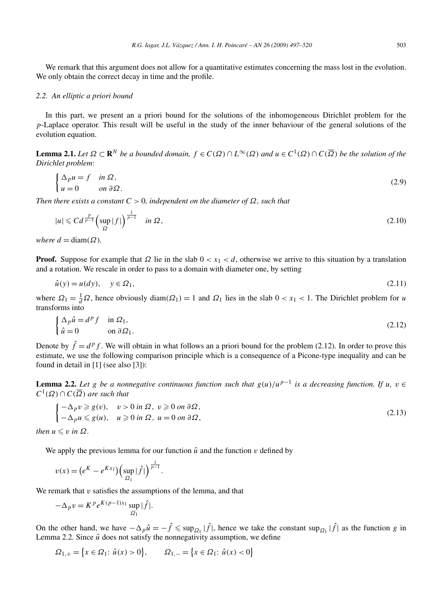We remark that this argument does not allow for a quantitative estimates concerning the mass lost in the evolution. We only obtain the correct decay in time and the profile.

## *2.2. An elliptic a priori bound*

In this part, we present an a priori bound for the solutions of the inhomogeneous Dirichlet problem for the *p*-Laplace operator. This result will be useful in the study of the inner behaviour of the general solutions of the evolution equation.

**Lemma 2.1.** *Let*  $\Omega \subset \mathbb{R}^N$  *be a bounded domain,*  $f \in C(\Omega) \cap L^\infty(\Omega)$  *and*  $u \in C^1(\Omega) \cap C(\overline{\Omega})$  *be the solution of the Dirichlet problem*:

$$
\begin{cases} \Delta_p u = f & \text{in } \Omega, \\ u = 0 & \text{on } \partial \Omega. \end{cases} \tag{2.9}
$$

*Then there exists a constant*  $C > 0$ *, independent on the diameter of*  $\Omega$ *, such that* 

$$
|u| \leqslant C d^{\frac{p}{p-1}} \left( \sup_{\Omega} |f| \right)^{\frac{1}{p-1}} \quad \text{in } \Omega \,, \tag{2.10}
$$

*where*  $d = \text{diam}(\Omega)$ *.* 

**Proof.** Suppose for example that  $\Omega$  lie in the slab  $0 < x_1 < d$ , otherwise we arrive to this situation by a translation and a rotation. We rescale in order to pass to a domain with diameter one, by setting

$$
\hat{u}(y) = u(dy), \quad y \in \Omega_1,\tag{2.11}
$$

where  $\Omega_1 = \frac{1}{d}\Omega$ , hence obviously diam $(\Omega_1) = 1$  and  $\Omega_1$  lies in the slab  $0 < x_1 < 1$ . The Dirichlet problem for *u* transforms into

$$
\begin{cases} \Delta_p \hat{u} = d^p f & \text{in } \Omega_1, \\ \hat{u} = 0 & \text{on } \partial \Omega_1. \end{cases}
$$
 (2.12)

Denote by  $\hat{f} = d^p f$ . We will obtain in what follows an a priori bound for the problem (2.12). In order to prove this estimate, we use the following comparison principle which is a consequence of a Picone-type inequality and can be found in detail in [1] (see also [3]):

**Lemma 2.2.** Let *g* be a nonnegative continuous function such that  $g(u)/u^{p-1}$  is a decreasing function. If *u*, *v* ∈  $C^1(\Omega) \cap C(\overline{\Omega})$  *are such that* 

$$
\begin{cases}\n-\Delta_p v \ge g(v), & v > 0 \text{ in } \Omega, \ v \ge 0 \text{ on } \partial \Omega, \\
-\Delta_p u \le g(u), & u \ge 0 \text{ in } \Omega, \ u = 0 \text{ on } \partial \Omega,\n\end{cases}
$$
\n(2.13)

*then*  $u \leq v$  *in*  $\Omega$ *.* 

We apply the previous lemma for our function  $\hat{u}$  and the function  $v$  defined by

$$
v(x) = (e^{K} - e^{Kx_1}) \left( \sup_{\Omega_1} |\hat{f}| \right)^{\frac{1}{p-1}}.
$$

We remark that *v* satisfies the assumptions of the lemma, and that

$$
-\Delta_p v = K^p e^{K(p-1)x_1} \sup_{\Omega_1} |\hat{f}|.
$$

On the other hand, we have  $-\Delta_p \hat{u} = -\hat{f} \leq \sup_{\Omega_1} |\hat{f}|$ , hence we take the constant  $\sup_{\Omega_1} |\hat{f}|$  as the function *g* in Lemma 2.2. Since  $\hat{u}$  does not satisfy the nonnegativity assumption, we define

$$
\Omega_{1,+} = \left\{ x \in \Omega_1 : \hat{u}(x) > 0 \right\}, \qquad \Omega_{1,-} = \left\{ x \in \Omega_1 : \hat{u}(x) < 0 \right\}
$$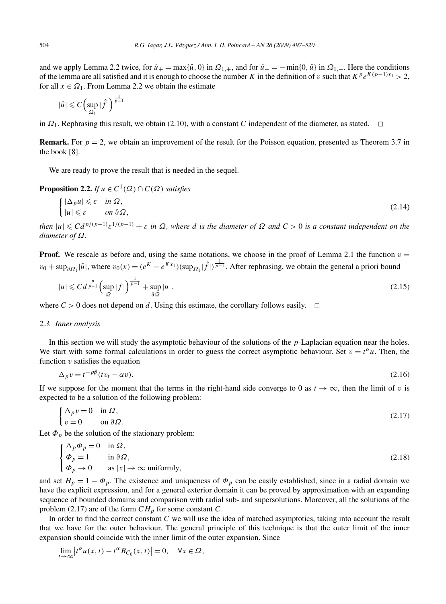and we apply Lemma 2.2 twice, for  $\hat{u}_+ = \max{\{\hat{u}, 0\}}$  in  $\Omega_{1,+}$ , and for  $\hat{u}_- = -\min{\{0, \hat{u}\}}$  in  $\Omega_{1,-}$ . Here the conditions of the lemma are all satisfied and it is enough to choose the number *K* in the definition of *v* such that  $K^p e^{K(p-1)x_1} > 2$ , for all  $x \in \Omega_1$ . From Lemma 2.2 we obtain the estimate

$$
|\hat{u}| \leqslant C \left( \sup_{\Omega_1} |\hat{f}| \right)^{\frac{1}{p-1}}
$$

in  $\Omega_1$ . Rephrasing this result, we obtain (2.10), with a constant *C* independent of the diameter, as stated.  $\Box$ 

**Remark.** For  $p = 2$ , we obtain an improvement of the result for the Poisson equation, presented as Theorem 3.7 in the book [8].

We are ready to prove the result that is needed in the sequel.

**Proposition 2.2.** *If*  $u \in C^1(\Omega) \cap C(\overline{\Omega})$  *satisfies* 

$$
\begin{cases} |\Delta_p u| \leqslant \varepsilon & \text{in } \Omega, \\ |u| \leqslant \varepsilon & \text{on } \partial\Omega, \end{cases}
$$
 (2.14)

then  $|u| \leqslant C d^{p/(p-1)} \varepsilon^{1/(p-1)} + \varepsilon$  in  $\Omega$ , where d is the diameter of  $\Omega$  and  $C > 0$  is a constant independent on the *diameter of Ω.*

**Proof.** We rescale as before and, using the same notations, we choose in the proof of Lemma 2.1 the function  $v =$  $v_0 + \sup_{\partial \Omega_1} |\hat{u}|$ , where  $v_0(x) = (e^{K} - e^{Kx_1})(\sup_{\Omega_1} |\hat{f}|)^{\frac{1}{p-1}}$ . After rephrasing, we obtain the general a priori bound

$$
|u| \leqslant C d^{\frac{p}{p-1}} \left( \sup_{\Omega} |f| \right)^{\frac{1}{p-1}} + \sup_{\partial \Omega} |u|.
$$
 (2.15)

where  $C > 0$  does not depend on *d*. Using this estimate, the corollary follows easily.  $\Box$ 

## *2.3. Inner analysis*

In this section we will study the asymptotic behaviour of the solutions of the *p*-Laplacian equation near the holes. We start with some formal calculations in order to guess the correct asymptotic behaviour. Set  $v = t^{\alpha}u$ . Then, the function *v* satisfies the equation

$$
\Delta_p v = t^{-p\beta} (t v_t - \alpha v). \tag{2.16}
$$

If we suppose for the moment that the terms in the right-hand side converge to 0 as  $t \to \infty$ , then the limit of *v* is expected to be a solution of the following problem:

$$
\begin{cases} \Delta_p v = 0 & \text{in } \Omega, \\ v = 0 & \text{on } \partial \Omega. \end{cases}
$$
 (2.17)

Let  $\Phi_p$  be the solution of the stationary problem:

$$
\begin{cases}\n\Delta_p \Phi_p = 0 & \text{in } \Omega, \\
\Phi_p = 1 & \text{in } \partial \Omega, \\
\Phi_p \to 0 & \text{as } |x| \to \infty \text{ uniformly,} \n\end{cases}
$$
\n(2.18)

and set  $H_p = 1 - \Phi_p$ . The existence and uniqueness of  $\Phi_p$  can be easily established, since in a radial domain we have the explicit expression, and for a general exterior domain it can be proved by approximation with an expanding sequence of bounded domains and comparison with radial sub- and supersolutions. Moreover, all the solutions of the problem (2.17) are of the form  $CH_p$  for some constant  $C$ .

In order to find the correct constant *C* we will use the idea of matched asymptotics, taking into account the result that we have for the outer behaviour. The general principle of this technique is that the outer limit of the inner expansion should coincide with the inner limit of the outer expansion. Since

$$
\lim_{t \to \infty} \left| t^{\alpha} u(x, t) - t^{\alpha} B_{C_0}(x, t) \right| = 0, \quad \forall x \in \Omega,
$$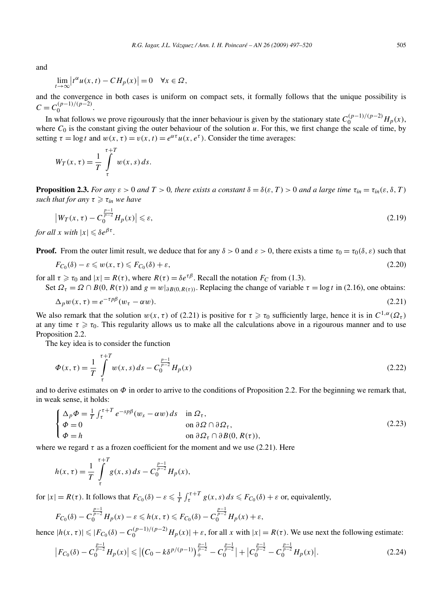and

$$
\lim_{t \to \infty} \left| t^{\alpha} u(x, t) - C H_p(x) \right| = 0 \quad \forall x \in \Omega,
$$

and the convergence in both cases is uniform on compact sets, it formally follows that the unique possibility is  $C = C_0^{(p-1)/(p-2)}$ .

In what follows we prove rigourously that the inner behaviour is given by the stationary state  $C_0^{(p-1)/(p-2)}H_p(x)$ , where  $C_0$  is the constant giving the outer behaviour of the solution  $u$ . For this, we first change the scale of time, by setting  $\tau = \log t$  and  $w(x, \tau) = v(x, t) = e^{\alpha \tau} u(x, e^{\tau})$ . Consider the time averages:

$$
W_T(x,\tau) = \frac{1}{T} \int_{\tau}^{\tau+T} w(x,s) \, ds.
$$

**Proposition 2.3.** *For any*  $\varepsilon > 0$  *and*  $T > 0$ *, there exists a constant*  $\delta = \delta(\varepsilon, T) > 0$  *and a large time*  $\tau_{in} = \tau_{in}(\varepsilon, \delta, T)$  $\mathbf{such that for any } \tau \geqslant \tau_{in} \leqslant \mathbf{h}$  *ave* 

$$
\left|W_T(x,\tau) - C_0^{\frac{p-1}{p-2}} H_p(x)\right| \leq \varepsilon,\tag{2.19}
$$

*for all x with*  $|x| \leq \delta e^{\beta \tau}$ .

**Proof.** From the outer limit result, we deduce that for any  $\delta > 0$  and  $\varepsilon > 0$ , there exists a time  $\tau_0 = \tau_0(\delta, \varepsilon)$  such that

$$
F_{C_0}(\delta) - \varepsilon \leq w(x, \tau) \leq F_{C_0}(\delta) + \varepsilon,\tag{2.20}
$$

for all  $\tau \ge \tau_0$  and  $|x| = R(\tau)$ , where  $R(\tau) = \delta e^{\tau \beta}$ . Recall the notation  $F_C$  from (1.3).

Set  $\Omega_{\tau} = \Omega \cap B(0, R(\tau))$  and  $g = w|_{\partial B(0, R(\tau))}$ . Replacing the change of variable  $\tau = \log t$  in (2.16), one obtains:

$$
\Delta_p w(x,\tau) = e^{-\tau p\beta} (w_\tau - \alpha w). \tag{2.21}
$$

We also remark that the solution  $w(x, \tau)$  of (2.21) is positive for  $\tau \ge \tau_0$  sufficiently large, hence it is in  $C^{1,\alpha}(\Omega_\tau)$ at any time  $\tau \ge \tau_0$ . This regularity allows us to make all the calculations above in a rigourous manner and to use Proposition 2.2.

The key idea is to consider the function +*T*

$$
\Phi(x,\tau) = \frac{1}{T} \int_{\tau}^{\tau+T} w(x,s) \, ds - C_0^{\frac{p-1}{p-2}} H_p(x) \tag{2.22}
$$

and to derive estimates on  $\Phi$  in order to arrive to the conditions of Proposition 2.2. For the beginning we remark that, in weak sense, it holds:

$$
\begin{cases}\n\Delta_p \Phi = \frac{1}{T} \int_{\tau}^{\tau+T} e^{-sp\beta} (w_s - \alpha w) ds & \text{in } \Omega_{\tau}, \\
\Phi = 0 & \text{on } \partial \Omega \cap \partial \Omega_{\tau}, \\
\Phi = h & \text{on } \partial \Omega_{\tau} \cap \partial B(0, R(\tau)),\n\end{cases}
$$
\n(2.23)

where we regard  $\tau$  as a frozen coefficient for the moment and we use (2.21). Here

$$
h(x,\tau) = \frac{1}{T} \int_{\tau}^{\tau+T} g(x,s) \, ds - C_0^{\frac{p-1}{p-2}} H_p(x),
$$

for  $|x| = R(\tau)$ . It follows that  $F_{C_0}(\delta) - \varepsilon \leq \frac{1}{T} \int_{\tau}^{\tau+T} g(x, s) ds \leq F_{C_0}(\delta) + \varepsilon$  or, equivalently,

$$
F_{C_0}(\delta)-C_0^{\frac{p-1}{p-2}}H_p(x)-\varepsilon\leq h(x,\tau)\leq F_{C_0}(\delta)-C_0^{\frac{p-1}{p-2}}H_p(x)+\varepsilon,
$$

hence  $|h(x, \tau)| \leqslant |F_{C_0}(\delta) - C_0^{(p-1)/(p-2)} H_p(x)| + \varepsilon$ , for all *x* with  $|x| = R(\tau)$ . We use next the following estimate:

$$
\left|F_{C_0}(\delta) - C_0^{\frac{p-1}{p-2}} H_p(x)\right| \leqslant \left| \left(C_0 - k\delta^{p/(p-1)}\right)_+^{\frac{p-1}{p-2}} - C_0^{\frac{p-1}{p-2}} \right| + \left|C_0^{\frac{p-1}{p-2}} - C_0^{\frac{p-1}{p-2}} H_p(x)\right|.
$$
\n(2.24)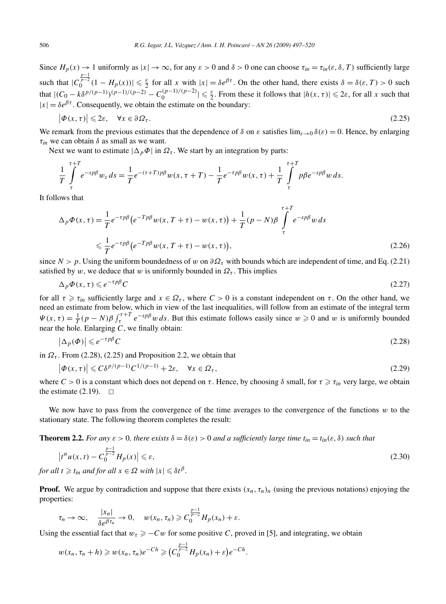Since  $H_p(x) \to 1$  uniformly as  $|x| \to \infty$ , for any  $\varepsilon > 0$  and  $\delta > 0$  one can choose  $\tau_{in} = \tau_{in}(\varepsilon, \delta, T)$  sufficiently large such that  $|C_0^{\frac{p-1}{p-2}}(1 - H_p(x))| \leq \frac{\varepsilon}{2}$  for all *x* with  $|x| = \delta e^{\beta \tau}$ . On the other hand, there exists  $\delta = \delta(\varepsilon, T) > 0$  such that  $|(C_0 - k \delta^{p/(p-1)})(p-1)/(p-2)} - C_0^{(p-1)/(p-2)}| \le \frac{\varepsilon}{2}$ . From these it follows that  $|h(x, \tau)| \le 2\varepsilon$ , for all x such that  $|x| = \delta e^{\beta \tau}$ . Consequently, we obtain the estimate on the boundary:

$$
\left|\Phi(x,\tau)\right| \leqslant 2\varepsilon, \quad \forall x \in \partial\Omega_{\tau}.\tag{2.25}
$$

We remark from the previous estimates that the dependence of  $\delta$  on  $\varepsilon$  satisfies  $\lim_{\varepsilon\to 0} \delta(\varepsilon) = 0$ . Hence, by enlarging *τin* we can obtain *δ* as small as we want.

Next we want to estimate  $|\Delta_p \Phi|$  in  $\Omega_{\tau}$ . We start by an integration by parts:

$$
\frac{1}{T}\int\limits_{\tau}^{\tau+T}e^{-sp\beta}w_s\,ds=\frac{1}{T}e^{-(\tau+T)p\beta}w(x,\tau+T)-\frac{1}{T}e^{-\tau p\beta}w(x,\tau)+\frac{1}{T}\int\limits_{\tau}^{\tau+T}p\beta e^{-sp\beta}w\,ds.
$$

It follows that

$$
\Delta_p \Phi(x, \tau) = \frac{1}{T} e^{-\tau p \beta} \left( e^{-T p \beta} w(x, T + \tau) - w(x, \tau) \right) + \frac{1}{T} (p - N) \beta \int_{\tau}^{\tau + T} e^{-s p \beta} w \, ds
$$
  
\$\leq \frac{1}{T} e^{-\tau p \beta} \left( e^{-T p \beta} w(x, T + \tau) - w(x, \tau) \right), \tag{2.26}

since  $N > p$ . Using the uniform boundedness of *w* on  $\partial \Omega_{\tau}$  with bounds which are independent of time, and Eq. (2.21) satisfied by *w*, we deduce that *w* is uniformly bounded in  $\Omega_{\tau}$ . This implies

$$
\Delta_p \Phi(x, \tau) \leqslant e^{-\tau p \beta} C \tag{2.27}
$$

for all  $\tau \ge \tau_{in}$  sufficiently large and  $x \in \Omega_{\tau}$ , where  $C > 0$  is a constant independent on  $\tau$ . On the other hand, we need an estimate from below, which in view of the last inequalities, will follow from an estimate of the integral term  $\Psi(x, \tau) = \frac{1}{T}(p - N)\beta \int_{\tau}^{\tau+T} e^{-sp\beta} w \, ds$ . But this estimate follows easily since  $w \ge 0$  and w is uniformly bounded near the hole. Enlarging *C*, we finally obtain:

$$
\left|\Delta_p(\Phi)\right| \leqslant e^{-\tau p\beta} C\tag{2.28}
$$

in  $\Omega_{\tau}$ . From (2.28), (2.25) and Proposition 2.2, we obtain that

$$
\left|\Phi(x,\tau)\right| \leqslant C\delta^{p/(p-1)}C^{1/(p-1)} + 2\varepsilon, \quad \forall x \in \Omega_{\tau},\tag{2.29}
$$

where  $C > 0$  is a constant which does not depend on  $\tau$ . Hence, by choosing  $\delta$  small, for  $\tau \ge \tau_{in}$  very large, we obtain the estimate  $(2.19)$ .  $\Box$ 

We now have to pass from the convergence of the time averages to the convergence of the functions *w* to the stationary state. The following theorem completes the result:

**Theorem 2.2.** For any 
$$
\varepsilon > 0
$$
, there exists  $\delta = \delta(\varepsilon) > 0$  and a sufficiently large time  $t_{in} = t_{in}(\varepsilon, \delta)$  such that

$$
\left| t^{\alpha} u(x,t) - C_0^{\frac{p-1}{p-2}} H_p(x) \right| \leq \varepsilon,
$$
  
for all  $t \geq t_{in}$  and for all  $x \in \Omega$  with  $|x| \leq \delta t^{\beta}$ . (2.30)

**Proof.** We argue by contradiction and suppose that there exists  $(x_n, \tau_n)_n$  (using the previous notations) enjoying the properties:

$$
\tau_n \to \infty
$$
,  $\frac{|x_n|}{\delta e^{\beta \tau_n}} \to 0$ ,  $w(x_n, \tau_n) \geq C_0^{\frac{p-1}{p-2}} H_p(x_n) + \varepsilon$ .

Using the essential fact that  $w_\tau \geq -Cw$  for some positive *C*, proved in [5], and integrating, we obtain

$$
w(x_n, \tau_n + h) \geq w(x_n, \tau_n) e^{-Ch} \geqslant (C_0^{\frac{p-1}{p-2}} H_p(x_n) + \varepsilon) e^{-Ch}.
$$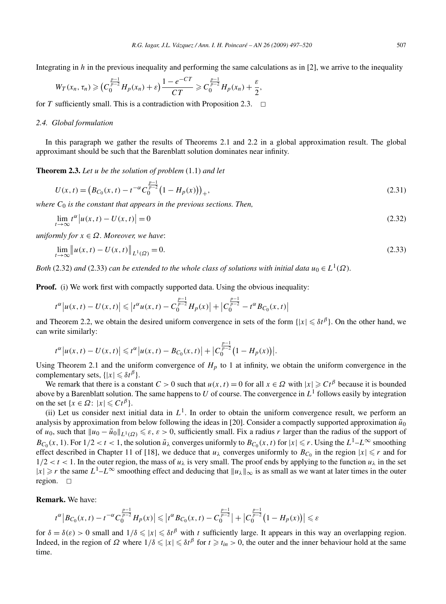Integrating in *h* in the previous inequality and performing the same calculations as in [2], we arrive to the inequality

$$
W_T(x_n, \tau_n) \geqslant (C_0^{\frac{p-1}{p-2}} H_p(x_n) + \varepsilon) \frac{1 - e^{-CT}}{CT} \geqslant C_0^{\frac{p-1}{p-2}} H_p(x_n) + \frac{\varepsilon}{2},
$$

for *T* sufficiently small. This is a contradiction with Proposition 2.3.  $\Box$ 

## *2.4. Global formulation*

In this paragraph we gather the results of Theorems 2.1 and 2.2 in a global approximation result. The global approximant should be such that the Barenblatt solution dominates near infinity.

**Theorem 2.3.** *Let u be the solution of problem* (1.1) *and let*

$$
U(x,t) = \left(B_{C_0}(x,t) - t^{-\alpha} C_0^{\frac{p-1}{p-2}} \left(1 - H_p(x)\right)\right)_+,
$$
\n(2.31)

*where C*<sup>0</sup> *is the constant that appears in the previous sections. Then,*

$$
\lim_{t \to \infty} t^{\alpha} |u(x, t) - U(x, t)| = 0
$$
\n(2.32)

*uniformly for*  $x \in \Omega$ *. Moreover, we have:* 

$$
\lim_{t \to \infty} \|u(x, t) - U(x, t)\|_{L^1(\Omega)} = 0.
$$
\n(2.33)

*Both* (2.32) *and* (2.33) *can be extended to the whole class of solutions with initial data*  $u_0 \in L^1(\Omega)$ *.* 

**Proof.** (i) We work first with compactly supported data. Using the obvious inequality:

$$
t^{\alpha} |u(x, t) - U(x, t)| \leq |t^{\alpha} u(x, t) - C_0^{\frac{p-1}{p-2}} H_p(x)| + |C_0^{\frac{p-1}{p-2}} - t^{\alpha} B_{C_0}(x, t)|
$$

and Theorem 2.2, we obtain the desired uniform convergence in sets of the form  $\{|x| \leq \delta t^{\beta}\}\$ . On the other hand, we can write similarly:

$$
t^{\alpha} |u(x, t) - U(x, t)| \leq t^{\alpha} |u(x, t) - B_{C_0}(x, t)| + |C_0^{\frac{p-1}{p-2}} (1 - H_p(x))|.
$$

Using Theorem 2.1 and the uniform convergence of  $H_p$  to 1 at infinity, we obtain the uniform convergence in the complementary sets,  $\{|x| \leq \delta t^{\beta}\}.$ 

We remark that there is a constant  $C > 0$  such that  $u(x, t) = 0$  for all  $x \in \Omega$  with  $|x| \geq C t^{\beta}$  because it is bounded above by a Barenblatt solution. The same happens to *U* of course. The convergence in  $L<sup>1</sup>$  follows easily by integration on the set  $\{x \in \Omega : |x| \leq C t^{\beta}\}.$ 

(ii) Let us consider next initial data in  $L^1$ . In order to obtain the uniform convergence result, we perform an analysis by approximation from below following the ideas in [20]. Consider a compactly supported approximation  $\tilde{u}_0$ of  $u_0$ , such that  $\|u_0 - \tilde{u}_0\|_{L^1(\Omega)} \leq \varepsilon$ ,  $\varepsilon > 0$ , sufficiently small. Fix a radius *r* larger than the radius of the support of *B*<sub>C0</sub>(*x*, 1). For  $1/2 < t < 1$ , the solution  $\tilde{u}_{\lambda}$  converges uniformly to  $B_{C_0}(x, t)$  for  $|x| \le r$ . Using the  $L^1 - L^{\infty}$  smoothing effect described in Chapter 11 of [18], we deduce that  $u_\lambda$  converges uniformly to  $B_{C_0}$  in the region  $|x| \le r$  and for  $1/2 < t < 1$ . In the outer region, the mass of  $u_{\lambda}$  is very small. The proof ends by applying to the function  $u_{\lambda}$  in the set  $|x| \ge r$  the same  $L^1 - L^\infty$  smoothing effect and deducing that  $||u_\lambda||_\infty$  is as small as we want at later times in the outer region.  $\square$ 

# **Remark.** We have:

$$
t^{\alpha} |B_{C_0}(x,t) - t^{-\alpha} C_0^{\frac{p-1}{p-2}} H_p(x)| \leq |t^{\alpha} B_{C_0}(x,t) - C_0^{\frac{p-1}{p-2}}| + |C_0^{\frac{p-1}{p-2}} (1 - H_p(x))| \leq \varepsilon
$$

for  $\delta = \delta(\varepsilon) > 0$  small and  $1/\delta \leq |x| \leq \delta t^{\beta}$  with *t* sufficiently large. It appears in this way an overlapping region. Indeed, in the region of  $\Omega$  where  $1/\delta \leq |x| \leq \delta t^{\beta}$  for  $t \geq t_{in} > 0$ , the outer and the inner behaviour hold at the same time.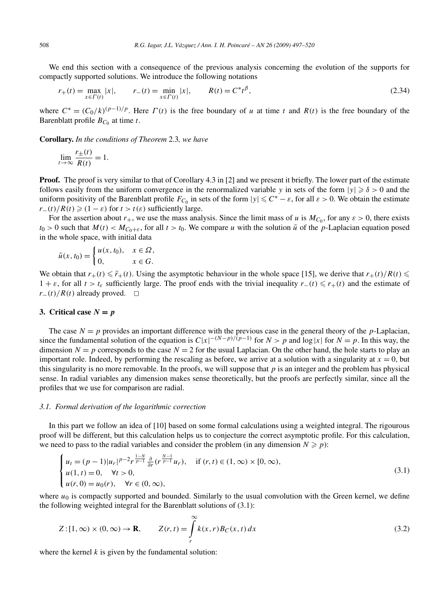We end this section with a consequence of the previous analysis concerning the evolution of the supports for compactly supported solutions. We introduce the following notations

$$
r_{+}(t) = \max_{x \in \Gamma(t)} |x|, \qquad r_{-}(t) = \min_{x \in \Gamma(t)} |x|, \qquad R(t) = C^{*}t^{\beta}, \tag{2.34}
$$

where  $C^* = (C_0/k)^{(p-1)/p}$ . Here  $\Gamma(t)$  is the free boundary of *u* at time *t* and  $R(t)$  is the free boundary of the Barenblatt profile  $B_{C_0}$  at time *t*.

**Corollary.** *In the conditions of Theorem* 2.3*, we have*

$$
\lim_{t \to \infty} \frac{r_{\pm}(t)}{R(t)} = 1.
$$

**Proof.** The proof is very similar to that of Corollary 4.3 in [2] and we present it briefly. The lower part of the estimate follows easily from the uniform convergence in the renormalized variable *y* in sets of the form  $|y| \ge \delta > 0$  and the uniform positivity of the Barenblatt profile  $F_{C_0}$  in sets of the form  $|y| \leq C^* - \varepsilon$ , for all  $\varepsilon > 0$ . We obtain the estimate  $r_-(t)/R(t) \geq (1 - \varepsilon)$  for  $t > t(\varepsilon)$  sufficiently large.

For the assertion about  $r_+$ , we use the mass analysis. Since the limit mass of *u* is  $M_{C_0}$ , for any  $\varepsilon > 0$ , there exists  $t_0 > 0$  such that  $M(t) < M_{C_0+\varepsilon}$ , for all  $t > t_0$ . We compare *u* with the solution  $\bar{u}$  of the *p*-Laplacian equation posed in the whole space, with initial data

$$
\bar{u}(x,t_0) = \begin{cases} u(x,t_0), & x \in \Omega, \\ 0, & x \in G. \end{cases}
$$

We obtain that  $r_+(t) \leq \bar{r}_+(t)$ . Using the asymptotic behaviour in the whole space [15], we derive that  $r_+(t)/R(t) \leq$ 1 +  $\varepsilon$ , for all  $t > t_{\varepsilon}$  sufficiently large. The proof ends with the trivial inequality  $r_-(t) \le r_+(t)$  and the estimate of *r*− $(t)/R(t)$  already proved.  $□$ 

# **3.** Critical case  $N = p$

The case  $N = p$  provides an important difference with the previous case in the general theory of the *p*-Laplacian, since the fundamental solution of the equation is  $C|x|^{-(N-p)/(p-1)}$  for  $N > p$  and log |*x*| for  $N = p$ . In this way, the dimension  $N = p$  corresponds to the case  $N = 2$  for the usual Laplacian. On the other hand, the hole starts to play an important role. Indeed, by performing the rescaling as before, we arrive at a solution with a singularity at  $x = 0$ , but this singularity is no more removable. In the proofs, we will suppose that  $p$  is an integer and the problem has physical sense. In radial variables any dimension makes sense theoretically, but the proofs are perfectly similar, since all the profiles that we use for comparison are radial.

#### *3.1. Formal derivation of the logarithmic correction*

In this part we follow an idea of [10] based on some formal calculations using a weighted integral. The rigourous proof will be different, but this calculation helps us to conjecture the correct asymptotic profile. For this calculation, we need to pass to the radial variables and consider the problem (in any dimension  $N \geq p$ ):

$$
\begin{cases}\n u_t = (p-1)|u_r|^{p-2} r^{\frac{1-N}{p-1}} \frac{\partial}{\partial r} (r^{\frac{N-1}{p-1}} u_r), & \text{if } (r, t) \in (1, \infty) \times [0, \infty), \\
 u(1, t) = 0, \quad \forall t > 0, \\
 u(r, 0) = u_0(r), \quad \forall r \in (0, \infty),\n\end{cases}
$$
\n(3.1)

where  $u_0$  is compactly supported and bounded. Similarly to the usual convolution with the Green kernel, we define the following weighted integral for the Barenblatt solutions of (3.1):

$$
Z: [1, \infty) \times (0, \infty) \to \mathbf{R}, \qquad Z(r, t) = \int_{r}^{\infty} k(x, r) B_C(x, t) dx \tag{3.2}
$$

where the kernel  $k$  is given by the fundamental solution: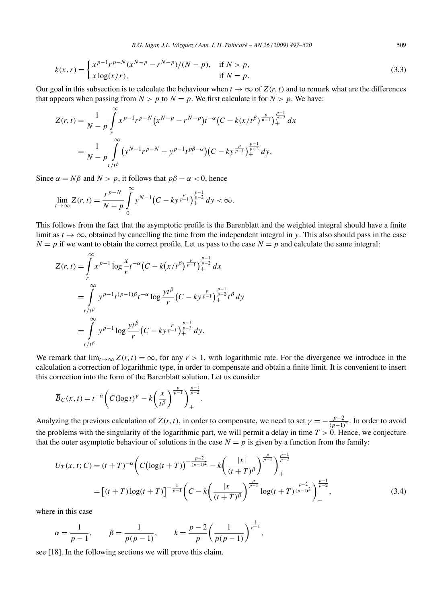$$
k(x,r) = \begin{cases} x^{p-1}r^{p-N}(x^{N-p} - r^{N-p})/(N-p), & \text{if } N > p, \\ x\log(x/r), & \text{if } N = p. \end{cases}
$$
(3.3)

Our goal in this subsection is to calculate the behaviour when  $t \to \infty$  of  $Z(r, t)$  and to remark what are the differences that appears when passing from  $N > p$  to  $N = p$ . We first calculate it for  $N > p$ . We have:

$$
Z(r,t) = \frac{1}{N-p} \int_{r}^{\infty} x^{p-1} r^{p-N} (x^{N-p} - r^{N-p}) t^{-\alpha} (C - k(x/t^{\beta})^{\frac{p}{p-1}})^{\frac{p-1}{p-2}} dx
$$
  
= 
$$
\frac{1}{N-p} \int_{r/t^{\beta}}^{\infty} (y^{N-1} r^{p-N} - y^{p-1} t^{p\beta-\alpha}) (C - ky^{\frac{p}{p-1}})^{\frac{p-1}{p-2}} dy.
$$

Since  $\alpha = N\beta$  and  $N > p$ , it follows that  $p\beta - \alpha < 0$ , hence

$$
\lim_{t \to \infty} Z(r, t) = \frac{r^{p-N}}{N-p} \int_{0}^{\infty} y^{N-1} \left( C - ky^{\frac{p}{p-1}} \right)_{+}^{\frac{p-1}{p-2}} dy < \infty.
$$

This follows from the fact that the asymptotic profile is the Barenblatt and the weighted integral should have a finite limit as  $t \to \infty$ , obtained by cancelling the time from the independent integral in y. This also should pass in the case  $N = p$  if we want to obtain the correct profile. Let us pass to the case  $N = p$  and calculate the same integral:

$$
Z(r,t) = \int_{r}^{\infty} x^{p-1} \log \frac{x}{r} t^{-\alpha} \left( C - k(x/t^{\beta})^{\frac{p}{p-1}} \right)_{+}^{\frac{p-1}{p-2}} dx
$$
  
\n
$$
= \int_{r/t^{\beta}}^{\infty} y^{p-1} t^{(p-1)\beta} t^{-\alpha} \log \frac{yt^{\beta}}{r} \left( C - ky^{\frac{p}{p-1}} \right)_{+}^{\frac{p-1}{p-2}} t^{\beta} dy
$$
  
\n
$$
= \int_{r/t^{\beta}}^{\infty} y^{p-1} \log \frac{yt^{\beta}}{r} \left( C - ky^{\frac{p}{p-1}} \right)_{+}^{\frac{p-1}{p-2}} dy.
$$

We remark that  $\lim_{t\to\infty} Z(r,t) = \infty$ , for any  $r > 1$ , with logarithmic rate. For the divergence we introduce in the calculation a correction of logarithmic type, in order to compensate and obtain a finite limit. It is convenient to insert this correction into the form of the Barenblatt solution. Let us consider

$$
\overline{B}_C(x,t) = t^{-\alpha} \left( C (\log t)^{\gamma} - k \left( \frac{x}{t^{\beta}} \right)^{\frac{p}{p-1}} \right)_{+}^{\frac{p-1}{p-2}}.
$$

Analyzing the previous calculation of  $Z(r, t)$ , in order to compensate, we need to set  $\gamma = -\frac{p-2}{(p-1)^2}$ . In order to avoid the problems with the singularity of the logarithmic part, we will permit a delay in time  $T > 0$ . Hence, we conjecture that the outer asymptotic behaviour of solutions in the case  $N = p$  is given by a function from the family:

$$
U_T(x,t;C) = (t+T)^{-\alpha} \left( C \left( \log(t+T) \right)^{-\frac{p-2}{(p-1)^2}} - k \left( \frac{|x|}{(t+T)^{\beta}} \right)^{\frac{p}{p-1}} \right)_{+}^{\frac{p-1}{p-2}}
$$
  
=  $\left[ (t+T) \log(t+T) \right]^{-\frac{1}{p-1}} \left( C - k \left( \frac{|x|}{(t+T)^{\beta}} \right)^{\frac{p}{p-1}} \log(t+T)^{\frac{p-2}{(p-1)^2}} \right)_{+}^{\frac{p-1}{p-2}},$  (3.4)

where in this case

$$
\alpha = \frac{1}{p-1}, \qquad \beta = \frac{1}{p(p-1)}, \qquad k = \frac{p-2}{p} \left( \frac{1}{p(p-1)} \right)^{\frac{1}{p-1}},
$$

see [18]. In the following sections we will prove this claim.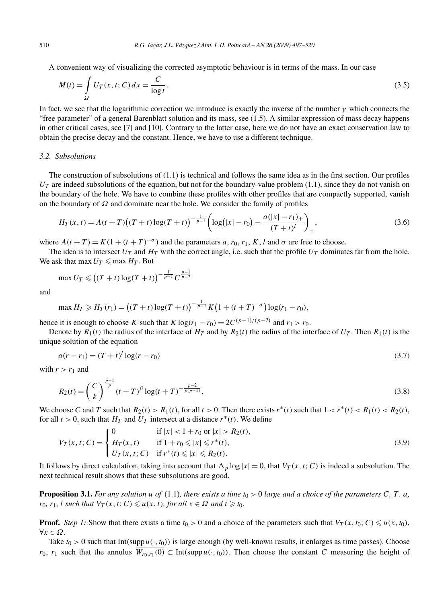A convenient way of visualizing the corrected asymptotic behaviour is in terms of the mass. In our case

$$
M(t) = \int_{\Omega} U_T(x, t; C) dx = \frac{C}{\log t}.
$$
\n(3.5)

In fact, we see that the logarithmic correction we introduce is exactly the inverse of the number  $\gamma$  which connects the "free parameter" of a general Barenblatt solution and its mass, see (1.5). A similar expression of mass decay happens in other critical cases, see [7] and [10]. Contrary to the latter case, here we do not have an exact conservation law to obtain the precise decay and the constant. Hence, we have to use a different technique.

#### *3.2. Subsolutions*

The construction of subsolutions of (1.1) is technical and follows the same idea as in the first section. Our profiles  $U_T$  are indeed subsolutions of the equation, but not for the boundary-value problem  $(1.1)$ , since they do not vanish on the boundary of the hole. We have to combine these profiles with other profiles that are compactly supported, vanish on the boundary of *Ω* and dominate near the hole. We consider the family of profiles

$$
H_T(x,t) = A(t+T)\left((T+t)\log(T+t)\right)^{-\frac{1}{p-1}} \left(\log(|x|-r_0) - \frac{a(|x|-r_1)_+}{(T+t)^l}\right)_+, \tag{3.6}
$$

where  $A(t+T) = K(1+(t+T)^{-\sigma})$  and the parameters *a*,  $r_0$ ,  $r_1$ , *K*, *l* and  $\sigma$  are free to choose.

The idea is to intersect  $U_T$  and  $H_T$  with the correct angle, i.e. such that the profile  $U_T$  dominates far from the hole. We ask that max  $U_T \leq \max H_T$ . But

$$
\max U_T \leq ( (T+t) \log(T+t) \big)^{-\frac{1}{p-1}} C^{\frac{p-1}{p-2}}
$$

and

$$
\max H_T \ge H_T(r_1) = ((T+t)\log(T+t))^{-\frac{1}{p-1}} K\left(1 + (t+T)^{-\sigma}\right) \log(r_1 - r_0),
$$

hence it is enough to choose *K* such that *K* log( $r_1 - r_0$ ) = 2 $C^{(p-1)/(p-2)}$  and  $r_1 > r_0$ .

Denote by  $R_1(t)$  the radius of the interface of  $H_T$  and by  $R_2(t)$  the radius of the interface of  $U_T$ . Then  $R_1(t)$  is the unique solution of the equation

$$
a(r - r_1) = (T + t)^l \log(r - r_0)
$$
\n(3.7)

with  $r > r_1$  and

$$
R_2(t) = \left(\frac{C}{k}\right)^{\frac{p-1}{p}} (t+T)^{\beta} \log(t+T)^{-\frac{p-2}{p(p-1)}}.
$$
\n(3.8)

We choose C and T such that  $R_2(t) > R_1(t)$ , for all  $t > 0$ . Then there exists  $r^*(t)$  such that  $1 < r^*(t) < R_1(t) < R_2(t)$ , for all  $t > 0$ , such that  $H_T$  and  $U_T$  intersect at a distance  $r^*(t)$ . We define

$$
V_T(x, t; C) = \begin{cases} 0 & \text{if } |x| < 1 + r_0 \text{ or } |x| > R_2(t), \\ H_T(x, t) & \text{if } 1 + r_0 \le |x| \le r^*(t), \\ U_T(x, t; C) & \text{if } r^*(t) \le |x| \le R_2(t). \end{cases}
$$
(3.9)

It follows by direct calculation, taking into account that  $\Delta_p \log |x| = 0$ , that  $V_T(x, t; C)$  is indeed a subsolution. The next technical result shows that these subsolutions are good.

**Proposition 3.1.** For any solution  $u$  of (1.1), there exists a time  $t_0 > 0$  large and a choice of the parameters C, T, a, *r*<sub>0</sub>*, r*<sub>1</sub>*, l such that*  $V_T(x, t; C) \leq u(x, t)$ *, for all*  $x \in \Omega$  *and*  $t \geq t_0$ *.* 

**Proof.** *Step 1:* Show that there exists a time  $t_0 > 0$  and a choice of the parameters such that  $V_T(x, t_0; C) \leq u(x, t_0)$ , ∀*x* ∈ *Ω*.

Take  $t_0 > 0$  such that Int(supp  $u(\cdot, t_0)$ ) is large enough (by well-known results, it enlarges as time passes). Choose *r*<sub>0</sub>, *r*<sub>1</sub> such that the annulus  $\overline{W_{r_0,r_1}(0)} \subset \text{Int}(\text{supp } u(\cdot, t_0))$ . Then choose the constant *C* measuring the height of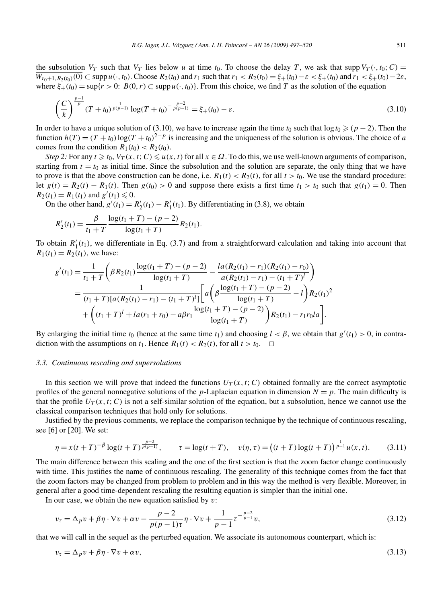the subsolution  $V_T$  such that  $V_T$  lies below *u* at time  $t_0$ . To choose the delay *T*, we ask that supp  $V_T(\cdot, t_0; C)$  =  $\overline{W_{r_0+1,R_2(t_0)}(0)} \subset \text{supp } u(\cdot,t_0)$ . Choose  $R_2(t_0)$  and  $r_1$  such that  $r_1 < R_2(t_0) = \xi_+(t_0) - \varepsilon < \xi_+(t_0)$  and  $r_1 < \xi_+(t_0) - 2\varepsilon$ , where  $\xi_+(t_0) = \sup\{r > 0: B(0, r) \subset \sup\{u(\cdot, t_0)\}\}.$  From this choice, we find *T* as the solution of the equation

$$
\left(\frac{C}{k}\right)^{\frac{p-1}{p}} (T+t_0)^{\frac{1}{p(p-1)}} \log(T+t_0)^{-\frac{p-2}{p(p-1)}} = \xi_+(t_0) - \varepsilon.
$$
\n(3.10)

In order to have a unique solution of (3.10), we have to increase again the time  $t_0$  such that  $\log t_0 \geq (p-2)$ . Then the function  $h(T) = (T + t_0) \log(T + t_0)^{2-p}$  is increasing and the uniqueness of the solution is obvious. The choice of *a* comes from the condition  $R_1(t_0) < R_2(t_0)$ .

*Step 2:* For any  $t \ge t_0$ ,  $V_T(x, t; C) \le u(x, t)$  for all  $x \in \Omega$ . To do this, we use well-known arguments of comparison, starting from  $t = t_0$  as initial time. Since the subsolution and the solution are separate, the only thing that we have to prove is that the above construction can be done, i.e.  $R_1(t) < R_2(t)$ , for all  $t > t_0$ . We use the standard procedure: let  $g(t) = R_2(t) - R_1(t)$ . Then  $g(t_0) > 0$  and suppose there exists a first time  $t_1 > t_0$  such that  $g(t_1) = 0$ . Then  $R_2(t_1) = R_1(t_1)$  and  $g'(t_1) \le 0$ .

On the other hand,  $g'(t_1) = R'_2(t_1) - R'_1(t_1)$ . By differentiating in (3.8), we obtain

$$
R'_{2}(t_{1}) = \frac{\beta}{t_{1} + T} \frac{\log(t_{1} + T) - (p - 2)}{\log(t_{1} + T)} R_{2}(t_{1}).
$$

To obtain  $R'_1(t_1)$ , we differentiate in Eq. (3.7) and from a straightforward calculation and taking into account that  $R_1(t_1) = R_2(t_1)$ , we have:

$$
g'(t_1) = \frac{1}{t_1 + T} \left( \beta R_2(t_1) \frac{\log(t_1 + T) - (p - 2)}{\log(t_1 + T)} - \frac{la(t_1 + T) - (r_1 - r_1)}{a(R_2(t_1) - r_1) - (t_1 + T)^l} \right)
$$
  
= 
$$
\frac{1}{(t_1 + T) [a(R_2(t_1) - r_1) - (t_1 + T)^l]} \left[ a \left( \beta \frac{\log(t_1 + T) - (p - 2)}{\log(t_1 + T)} - 1 \right) R_2(t_1)^2 + \left( (t_1 + T)^l + la(r_1 + r_0) - a\beta r_1 \frac{\log(t_1 + T) - (p - 2)}{\log(t_1 + T)} \right) R_2(t_1) - r_1 r_0 l a \right].
$$

By enlarging the initial time  $t_0$  (hence at the same time  $t_1$ ) and choosing  $l < \beta$ , we obtain that  $g'(t_1) > 0$ , in contradiction with the assumptions on  $t_1$ . Hence  $R_1(t) < R_2(t)$ , for all  $t > t_0$ .  $\Box$ 

## *3.3. Continuous rescaling and supersolutions*

In this section we will prove that indeed the functions  $U_T(x, t; C)$  obtained formally are the correct asymptotic profiles of the general nonnegative solutions of the *p*-Laplacian equation in dimension  $N = p$ . The main difficulty is that the profile  $U_T(x, t; C)$  is not a self-similar solution of the equation, but a subsolution, hence we cannot use the classical comparison techniques that hold only for solutions.

Justified by the previous comments, we replace the comparison technique by the technique of continuous rescaling, see [6] or [20]. We set:

$$
\eta = x(t+T)^{-\beta} \log(t+T)^{\frac{p-2}{p(p-1)}}, \qquad \tau = \log(t+T), \quad v(\eta, \tau) = \left( (t+T) \log(t+T) \right)^{\frac{1}{p-1}} u(x,t). \tag{3.11}
$$

The main difference between this scaling and the one of the first section is that the zoom factor change continuously with time. This justifies the name of continuous rescaling. The generality of this technique comes from the fact that the zoom factors may be changed from problem to problem and in this way the method is very flexible. Moreover, in general after a good time-dependent rescaling the resulting equation is simpler than the initial one.

In our case, we obtain the new equation satisfied by *v*:

$$
v_{\tau} = \Delta_p v + \beta \eta \cdot \nabla v + \alpha v - \frac{p-2}{p(p-1)\tau} \eta \cdot \nabla v + \frac{1}{p-1} \tau^{-\frac{p-2}{p-1}} v,\tag{3.12}
$$

that we will call in the sequel as the perturbed equation. We associate its autonomous counterpart, which is:

$$
v_{\tau} = \Delta_p v + \beta \eta \cdot \nabla v + \alpha v,\tag{3.13}
$$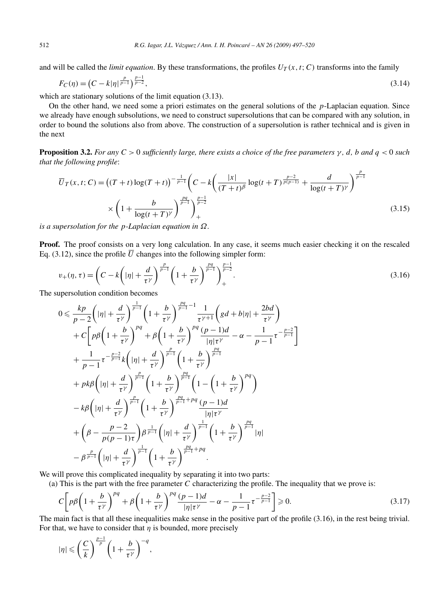and will be called the *limit equation*. By these transformations, the profiles  $U_T(x, t; C)$  transforms into the family

$$
F_C(\eta) = \left(C - k|\eta|^{\frac{p}{p-1}}\right)^{\frac{p-1}{p-2}},\tag{3.14}
$$

which are stationary solutions of the limit equation (3.13).

On the other hand, we need some a priori estimates on the general solutions of the *p*-Laplacian equation. Since we already have enough subsolutions, we need to construct supersolutions that can be compared with any solution, in order to bound the solutions also from above. The construction of a supersolution is rather technical and is given in the next

**Proposition 3.2.** *For any*  $C > 0$  *sufficiently large, there exists a choice of the free parameters*  $\gamma$ *, d, b and*  $q < 0$  *such that the following profile*:

$$
\overline{U}_T(x,t;C) = ((T+t)\log(T+t))^{-\frac{1}{p-1}} \left(C - k\left(\frac{|x|}{(T+t)^{\beta}}\log(t+T)^{\frac{p-2}{p(p-1)}} + \frac{d}{\log(t+T)^{\gamma}}\right)^{\frac{p}{p-1}}\right)
$$
\n
$$
\times \left(1 + \frac{b}{\log(t+T)^{\gamma}}\right)^{\frac{pq}{p-1}} + \tag{3.15}
$$

*is a supersolution for the p-Laplacian equation in Ω.*

**Proof.** The proof consists on a very long calculation. In any case, it seems much easier checking it on the rescaled Eq. (3.12), since the profile  $\overline{U}$  changes into the following simpler form:

$$
v_{+}(\eta,\tau) = \left(C - k\left(|\eta| + \frac{d}{\tau^{\gamma}}\right)^{\frac{p}{p-1}} \left(1 + \frac{b}{\tau^{\gamma}}\right)^{\frac{pq}{p-1}}\right)_{+}^{\frac{p-1}{p-2}}.
$$
\n(3.16)

The supersolution condition becomes

$$
0 \leq \frac{kp}{p-2} \left( |\eta| + \frac{d}{\tau^{\gamma}} \right)^{\frac{1}{p-1}} \left( 1 + \frac{b}{\tau^{\gamma}} \right)^{\frac{pq}{p-1} - 1} \frac{1}{\tau^{\gamma+1}} \left( gd + b|\eta| + \frac{2bd}{\tau^{\gamma}} \right) + C \left[ p\beta \left( 1 + \frac{b}{\tau^{\gamma}} \right)^{pq} + \beta \left( 1 + \frac{b}{\tau^{\gamma}} \right)^{pq} \frac{(p-1)d}{|\eta|\tau^{\gamma}} - \alpha - \frac{1}{p-1} \tau^{-\frac{p-2}{p-1}} \right] + \frac{1}{p-1} \tau^{-\frac{p-2}{p-1}} k \left( |\eta| + \frac{d}{\tau^{\gamma}} \right)^{\frac{pq}{p-1}} \left( 1 + \frac{b}{\tau^{\gamma}} \right)^{\frac{pq}{p-1}} + pk\beta \left( |\eta| + \frac{d}{\tau^{\gamma}} \right)^{\frac{p}{p-1}} \left( 1 + \frac{b}{\tau^{\gamma}} \right)^{\frac{pq}{p-1}} \left( 1 - \left( 1 + \frac{b}{\tau^{\gamma}} \right)^{pq} \right) - k\beta \left( |\eta| + \frac{d}{\tau^{\gamma}} \right)^{\frac{p}{p-1}} \left( 1 + \frac{b}{\tau^{\gamma}} \right)^{\frac{pq}{p-1} + pq} \frac{(p-1)d}{|\eta|\tau^{\gamma}} + \left( \beta - \frac{p-2}{p(p-1)\tau} \right) \beta^{\frac{1}{p-1}} \left( |\eta| + \frac{d}{\tau^{\gamma}} \right)^{\frac{1}{p-1}} \left( 1 + \frac{b}{\tau^{\gamma}} \right)^{\frac{pq}{p-1} + pq} - \beta^{\frac{p}{p-1}} \left( |\eta| + \frac{d}{\tau^{\gamma}} \right)^{\frac{1}{p-1}} \left( 1 + \frac{b}{\tau^{\gamma}} \right)^{\frac{pq}{p-1} + pq} .
$$

We will prove this complicated inequality by separating it into two parts:

(a) This is the part with the free parameter *C* characterizing the profile. The inequality that we prove is:

$$
C\left[p\beta\left(1+\frac{b}{\tau^{\gamma}}\right)^{pq} + \beta\left(1+\frac{b}{\tau^{\gamma}}\right)^{pq}\frac{(p-1)d}{|\eta|\tau^{\gamma}} - \alpha - \frac{1}{p-1}\tau^{-\frac{p-2}{p-1}}\right] \geq 0. \tag{3.17}
$$

The main fact is that all these inequalities make sense in the positive part of the profile (3.16), in the rest being trivial. For that, we have to consider that  $\eta$  is bounded, more precisely

$$
|\eta| \leqslant \left(\frac{C}{k}\right)^{\frac{p-1}{p}} \left(1 + \frac{b}{\tau^{\gamma}}\right)^{-q},
$$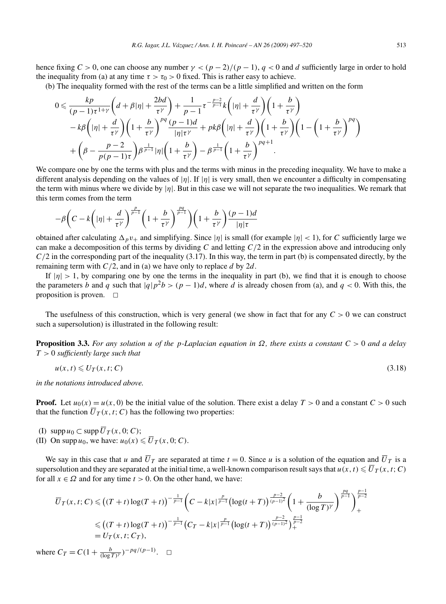hence fixing  $C > 0$ , one can choose any number  $\gamma < (p - 2)/(p - 1)$ ,  $q < 0$  and *d* sufficiently large in order to hold the inequality from (a) at any time  $\tau > \tau_0 > 0$  fixed. This is rather easy to achieve.

(b) The inequality formed with the rest of the terms can be a little simplified and written on the form

$$
0 \leq \frac{kp}{(p-1)\tau^{1+\gamma}} \left(d+\beta|\eta| + \frac{2bd}{\tau^{\gamma}}\right) + \frac{1}{p-1} \tau^{-\frac{p-2}{p-1}} k\left(|\eta| + \frac{d}{\tau^{\gamma}}\right) \left(1 + \frac{b}{\tau^{\gamma}}\right) - k\beta \left(|\eta| + \frac{d}{\tau^{\gamma}}\right) \left(1 + \frac{b}{\tau^{\gamma}}\right)^{pq} \frac{(p-1)d}{|\eta|\tau^{\gamma}} + pk\beta \left(|\eta| + \frac{d}{\tau^{\gamma}}\right) \left(1 + \frac{b}{\tau^{\gamma}}\right) \left(1 - \left(1 + \frac{b}{\tau^{\gamma}}\right)^{pq}\right) + \left(\beta - \frac{p-2}{p(p-1)\tau}\right) \beta^{\frac{1}{p-1}} |\eta| \left(1 + \frac{b}{\tau^{\gamma}}\right) - \beta^{\frac{1}{p-1}} \left(1 + \frac{b}{\tau^{\gamma}}\right)^{pq+1} .
$$

We compare one by one the terms with plus and the terms with minus in the preceding inequality. We have to make a different analysis depending on the values of |*η*|. If |*η*| is very small, then we encounter a difficulty in compensating the term with minus where we divide by  $|\eta|$ . But in this case we will not separate the two inequalities. We remark that this term comes from the term

$$
-\beta \bigg(C - k\bigg(|\eta| + \frac{d}{\tau^{\gamma}}\bigg)^{\frac{p}{p-1}} \bigg(1 + \frac{b}{\tau^{\gamma}}\bigg)^{\frac{pq}{p-1}}\bigg) \bigg(1 + \frac{b}{\tau^{\gamma}}\bigg)^{\frac{(p-1)d}{|\eta|\tau}}
$$

obtained after calculating  $\Delta_p v_+$  and simplifying. Since  $|\eta|$  is small (for example  $|\eta| < 1$ ), for *C* sufficiently large we can make a decomposition of this terms by dividing *C* and letting *C/*2 in the expression above and introducing only *C*/2 in the corresponding part of the inequality (3.17). In this way, the term in part (b) is compensated directly, by the remaining term with *C/*2, and in (a) we have only to replace *d* by 2*d*.

If  $|\eta| > 1$ , by comparing one by one the terms in the inequality in part (b), we find that it is enough to choose the parameters *b* and *q* such that  $|q|p^2b > (p-1)d$ , where *d* is already chosen from (a), and  $q < 0$ . With this, the proposition is proven.  $\Box$ 

The usefulness of this construction, which is very general (we show in fact that for any  $C > 0$  we can construct such a supersolution) is illustrated in the following result:

**Proposition 3.3.** *For any solution u of the p-Laplacian equation in Ω, there exists a constant C >* 0 *and a delay T >* 0 *sufficiently large such that*

$$
u(x,t) \leqslant U_T(x,t;C) \tag{3.18}
$$

*in the notations introduced above.*

**Proof.** Let  $u_0(x) = u(x, 0)$  be the initial value of the solution. There exist a delay  $T > 0$  and a constant  $C > 0$  such that the function  $\overline{U}_T(x, t; C)$  has the following two properties:

- (I)  $\text{supp } u_0 \subset \text{supp } \overline{U}_T(x, 0; C);$
- (II) On supp  $u_0$ , we have:  $u_0(x) \le \overline{U}_T(x, 0; C)$ .

We say in this case that *u* and  $\overline{U}_T$  are separated at time  $t = 0$ . Since *u* is a solution of the equation and  $\overline{U}_T$  is a supersolution and they are separated at the initial time, a well-known comparison result says that  $u(x, t) \leq U_T(x, t; C)$ for all  $x \in \Omega$  and for any time  $t > 0$ . On the other hand, we have:

$$
\overline{U}_T(x,t;C) \leq ( (T+t) \log(T+t) )^{-\frac{1}{p-1}} \left( C - k|x|^{\frac{p}{p-1}} (\log(t+T))^{\frac{p-2}{(p-1)^2}} \left( 1 + \frac{b}{(\log T)^\gamma} \right)^{\frac{p}{p-1}} \right)_+^{\frac{p-1}{p-2}}
$$
  
\n
$$
\leq ( (T+t) \log(T+t) )^{-\frac{1}{p-1}} (C_T - k|x|^{\frac{p}{p-1}} (\log(t+T))^{\frac{p-2}{(p-1)^2}})^{\frac{p-1}{p-2}}
$$
  
\n
$$
= U_T(x,t;C_T),
$$

where  $C_T = C(1 + \frac{b}{(\log T)^{\gamma}})^{-pq/(p-1)}$ .  $\Box$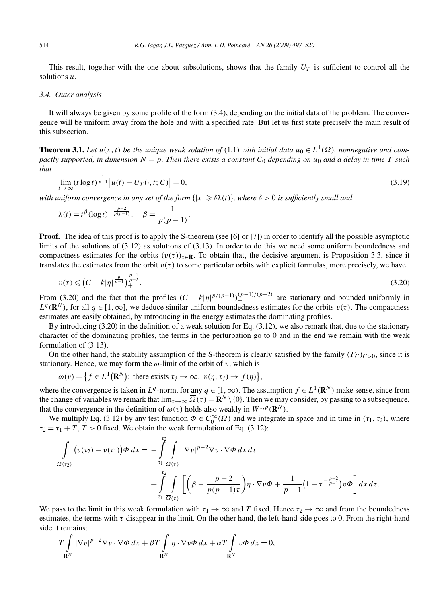This result, together with the one about subsolutions, shows that the family  $U_T$  is sufficient to control all the solutions *u*.

#### *3.4. Outer analysis*

It will always be given by some profile of the form (3.4), depending on the initial data of the problem. The convergence will be uniform away from the hole and with a specified rate. But let us first state precisely the main result of this subsection.

**Theorem 3.1.** *Let*  $u(x, t)$  *be the unique weak solution of* (1.1) *with initial data*  $u_0 \in L^1(\Omega)$ *, nonnegative and compactly supported, in dimension*  $N = p$ *. Then there exists a constant*  $C_0$  *depending on*  $u_0$  *and a delay in time T such that*

$$
\lim_{t \to \infty} (t \log t)^{\frac{1}{p-1}} |u(t) - U_T(\cdot, t; C)| = 0,
$$
\n(3.19)

with uniform convergence in any set of the form  $\{|x|\geqslant \delta \lambda(t)\}$ , where  $\delta>0$  is sufficiently small and

$$
\lambda(t) = t^{\beta} (\log t)^{-\frac{p-2}{p(p-1)}}, \quad \beta = \frac{1}{p(p-1)}.
$$

**Proof.** The idea of this proof is to apply the S-theorem (see [6] or [7]) in order to identify all the possible asymptotic limits of the solutions of (3.12) as solutions of (3.13). In order to do this we need some uniform boundedness and compactness estimates for the orbits  $(v(\tau))_{\tau \in \mathbb{R}}$ . To obtain that, the decisive argument is Proposition 3.3, since it translates the estimates from the orbit  $v(\tau)$  to some particular orbits with explicit formulas, more precisely, we have

$$
v(\tau) \leq (C - k|\eta|^{\frac{p}{p-1}})^{\frac{p-1}{p-2}}.
$$
\n(3.20)

From (3.20) and the fact that the profiles  $(C - k|\eta|^{p/(p-1)})(p-1)/(p-2)}$  are stationary and bounded uniformly in  $L^q(\mathbf{R}^N)$ , for all  $q \in [1,\infty]$ , we deduce similar uniform boundedness estimates for the orbits  $v(\tau)$ . The compactness estimates are easily obtained, by introducing in the energy estimates the dominating profiles.

By introducing (3.20) in the definition of a weak solution for Eq. (3.12), we also remark that, due to the stationary character of the dominating profiles, the terms in the perturbation go to 0 and in the end we remain with the weak formulation of (3.13).

On the other hand, the stability assumption of the S-theorem is clearly satisfied by the family  $(F_C)_{C>0}$ , since it is stationary. Hence, we may form the  $\omega$ -limit of the orbit of  $v$ , which is

$$
\omega(v) = \left\{ f \in L^1(\mathbf{R}^N) \colon \text{there exists } \tau_j \to \infty, \ v(\eta, \tau_j) \to f(\eta) \right\},
$$

where the convergence is taken in  $L^q$ -norm, for any  $q \in [1, \infty)$ . The assumption  $f \in L^1(\mathbf{R}^N)$  make sense, since from the change of variables we remark that  $\lim_{\tau\to\infty} \overline{\Omega}(\tau) = \mathbf{R}^N \setminus \{0\}$ . Then we may consider, by passing to a subsequence, that the convergence in the definition of  $\omega(v)$  holds also weakly in  $W^{1,p}(\mathbb{R}^N)$ .

We multiply Eq. (3.12) by any test function  $\Phi \in C_0^{\infty}(\Omega)$  and we integrate in space and in time in  $(\tau_1, \tau_2)$ , where  $\tau_2 = \tau_1 + T$ ,  $T > 0$  fixed. We obtain the weak formulation of Eq. (3.12):

$$
\int_{\overline{\Omega}(r_2)} \left( v(r_2) - v(r_1) \right) \phi \, dx = - \int_{r_1}^{r_2} \int_{\overline{\Omega}(r)} |\nabla v|^{p-2} \nabla v \cdot \nabla \phi \, dx \, d\tau \n+ \int_{r_1}^{r_2} \int_{\overline{\Omega}(r)} \left[ \left( \beta - \frac{p-2}{p(p-1)\tau} \right) \eta \cdot \nabla v \phi + \frac{1}{p-1} \left( 1 - \tau^{-\frac{p-2}{p-1}} \right) v \phi \right] dx \, d\tau.
$$

We pass to the limit in this weak formulation with  $\tau_1 \to \infty$  and *T* fixed. Hence  $\tau_2 \to \infty$  and from the boundedness estimates, the terms with  $\tau$  disappear in the limit. On the other hand, the left-hand side goes to 0. From the right-hand side it remains:

$$
T\int\limits_{\mathbf{R}^N} |\nabla v|^{p-2} \nabla v \cdot \nabla \Phi \, dx + \beta T \int\limits_{\mathbf{R}^N} \eta \cdot \nabla v \Phi \, dx + \alpha T \int\limits_{\mathbf{R}^N} v \Phi \, dx = 0,
$$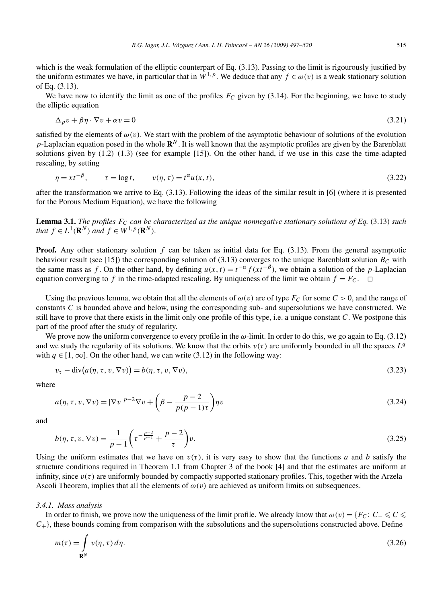which is the weak formulation of the elliptic counterpart of Eq.  $(3.13)$ . Passing to the limit is rigourously justified by the uniform estimates we have, in particular that in  $W^{1,p}$ . We deduce that any  $f \in \omega(v)$  is a weak stationary solution of Eq. (3.13).

We have now to identify the limit as one of the profiles  $F_C$  given by (3.14). For the beginning, we have to study the elliptic equation

$$
\Delta_p v + \beta \eta \cdot \nabla v + \alpha v = 0 \tag{3.21}
$$

satisfied by the elements of  $\omega(v)$ . We start with the problem of the asymptotic behaviour of solutions of the evolution *p*-Laplacian equation posed in the whole  $\mathbb{R}^N$ . It is well known that the asymptotic profiles are given by the Barenblatt solutions given by  $(1.2)$ – $(1.3)$  (see for example [15]). On the other hand, if we use in this case the time-adapted rescaling, by setting

$$
\eta = x t^{-\beta}, \qquad \tau = \log t, \qquad v(\eta, \tau) = t^{\alpha} u(x, t), \tag{3.22}
$$

after the transformation we arrive to Eq. (3.13). Following the ideas of the similar result in [6] (where it is presented for the Porous Medium Equation), we have the following

**Lemma 3.1.** *The profiles FC can be characterized as the unique nonnegative stationary solutions of Eq.* (3.13) *such that*  $f \in L^1(\mathbb{R}^N)$  *and*  $f \in W^{1,p}(\mathbb{R}^N)$ *.* 

**Proof.** Any other stationary solution *f* can be taken as initial data for Eq. (3.13). From the general asymptotic behaviour result (see [15]) the corresponding solution of  $(3.13)$  converges to the unique Barenblatt solution  $B_C$  with the same mass as *f*. On the other hand, by defining  $u(x, t) = t^{-\alpha} f(xt^{-\beta})$ , we obtain a solution of the *p*-Laplacian equation converging to *f* in the time-adapted rescaling. By uniqueness of the limit we obtain  $f = F_C$ .  $\Box$ 

Using the previous lemma, we obtain that all the elements of  $\omega(v)$  are of type  $F_C$  for some  $C > 0$ , and the range of constants *C* is bounded above and below, using the corresponding sub- and supersolutions we have constructed. We still have to prove that there exists in the limit only one profile of this type, i.e. a unique constant *C*. We postpone this part of the proof after the study of regularity.

We prove now the uniform convergence to every profile in the *ω*-limit. In order to do this, we go again to Eq. (3.12) and we study the regularity of its solutions. We know that the orbits  $v(\tau)$  are uniformly bounded in all the spaces  $L^q$ with  $q \in [1, \infty]$ . On the other hand, we can write (3.12) in the following way:

$$
v_{\tau} - \operatorname{div}(a(\eta, \tau, v, \nabla v)) = b(\eta, \tau, v, \nabla v),\tag{3.23}
$$

where

$$
a(\eta, \tau, v, \nabla v) = |\nabla v|^{p-2} \nabla v + \left(\beta - \frac{p-2}{p(p-1)\tau}\right) \eta v \tag{3.24}
$$

and

$$
b(\eta, \tau, v, \nabla v) = \frac{1}{p - 1} \left( \tau^{-\frac{p - 2}{p - 1}} + \frac{p - 2}{\tau} \right) v.
$$
 (3.25)

Using the uniform estimates that we have on  $v(\tau)$ , it is very easy to show that the functions *a* and *b* satisfy the structure conditions required in Theorem 1.1 from Chapter 3 of the book [4] and that the estimates are uniform at infinity, since  $v(\tau)$  are uniformly bounded by compactly supported stationary profiles. This, together with the Arzela– Ascoli Theorem, implies that all the elements of  $\omega(v)$  are achieved as uniform limits on subsequences.

#### *3.4.1. Mass analysis*

In order to finish, we prove now the uniqueness of the limit profile. We already know that  $\omega(v) = \{F_C: C \leq C \leq C\}$ *C*+}, these bounds coming from comparison with the subsolutions and the supersolutions constructed above. Define

$$
m(\tau) = \int_{\mathbf{R}^N} v(\eta, \tau) d\eta.
$$
 (3.26)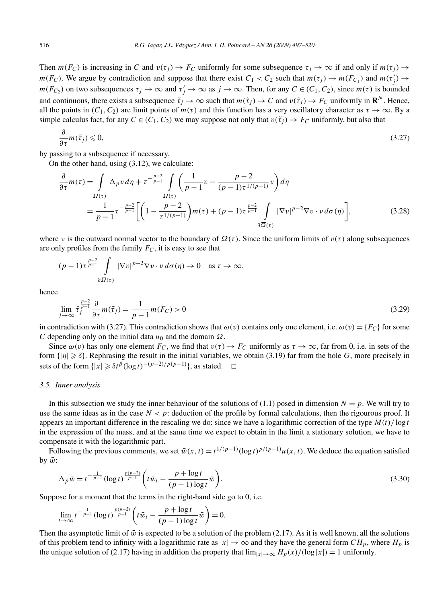Then  $m(F_C)$  is increasing in *C* and  $v(\tau_i) \to F_C$  uniformly for some subsequence  $\tau_i \to \infty$  if and only if  $m(\tau_i) \to$ *m*( $F_C$ ). We argue by contradiction and suppose that there exist  $C_1 < C_2$  such that  $m(\tau_j) \to m(F_{C_1})$  and  $m(\tau'_j) \to m(F_{C_2})$ *m*( $F_{C_2}$ ) on two subsequences  $\tau_j \to \infty$  and  $\tau'_j \to \infty$  as  $j \to \infty$ . Then, for any  $C \in (C_1, C_2)$ , since  $m(\tau)$  is bounded and continuous, there exists a subsequence  $\tilde{\tau}_j \to \infty$  such that  $m(\tilde{\tau}_j) \to C$  and  $v(\tilde{\tau}_j) \to F_C$  uniformly in  $\mathbb{R}^N$ . Hence, all the points in  $(C_1, C_2)$  are limit points of  $m(\tau)$  and this function has a very oscillatory character as  $\tau \to \infty$ . By a simple calculus fact, for any  $C \in (C_1, C_2)$  we may suppose not only that  $v(\tilde{\tau}_i) \to F_C$  uniformly, but also that

$$
\frac{\partial}{\partial \tau} m(\tilde{\tau}_j) \leqslant 0,\tag{3.27}
$$

by passing to a subsequence if necessary.

On the other hand, using (3.12), we calculate:

$$
\frac{\partial}{\partial \tau} m(\tau) = \int_{\overline{\Omega}(\tau)} \Delta_p v \, d\eta + \tau^{-\frac{p-2}{p-1}} \int_{\overline{\Omega}(\tau)} \left( \frac{1}{p-1} v - \frac{p-2}{(p-1)\tau^{1/(p-1)}} v \right) d\eta
$$
\n
$$
= \frac{1}{p-1} \tau^{-\frac{p-2}{p-1}} \left[ \left( 1 - \frac{p-2}{\tau^{1/(p-1)}} \right) m(\tau) + (p-1)\tau^{\frac{p-2}{p-1}} \int_{\partial \overline{\Omega}(\tau)} |\nabla v|^{p-2} \nabla v \cdot v \, d\sigma(\eta) \right],\tag{3.28}
$$

where *ν* is the outward normal vector to the boundary of  $\overline{\Omega}(\tau)$ . Since the uniform limits of  $v(\tau)$  along subsequences are only profiles from the family  $F_C$ , it is easy to see that

$$
(p-1)\tau^{\frac{p-2}{p-1}}\int\limits_{\partial\overline{\Omega}(\tau)}|\nabla v|^{p-2}\nabla v\cdot v\,d\sigma(\eta)\to 0 \quad \text{as }\tau\to\infty,
$$

hence

$$
\lim_{j \to \infty} \tilde{\tau}_j^{\frac{p-2}{p-1}} \frac{\partial}{\partial \tau} m(\tilde{\tau}_j) = \frac{1}{p-1} m(F_C) > 0
$$
\n(3.29)

in contradiction with (3.27). This contradiction shows that  $\omega(v)$  contains only one element, i.e.  $\omega(v) = \{F_C\}$  for some *C* depending only on the initial data *u*<sup>0</sup> and the domain *Ω*.

Since  $\omega(v)$  has only one element  $F_C$ , we find that  $v(\tau) \to F_C$  uniformly as  $\tau \to \infty$ , far from 0, i.e. in sets of the form  $\{|\eta| \geq \delta\}$ . Rephrasing the result in the initial variables, we obtain (3.19) far from the hole *G*, more precisely in sets of the form  $\{|x| \geq \delta t^{\beta} (\log t)^{-(p-2)/p(p-1)}\}$ , as stated.  $\Box$ 

#### *3.5. Inner analysis*

In this subsection we study the inner behaviour of the solutions of (1.1) posed in dimension  $N = p$ . We will try to use the same ideas as in the case  $N < p$ : deduction of the profile by formal calculations, then the rigourous proof. It appears an important difference in the rescaling we do: since we have a logarithmic correction of the type  $M(t)/\log t$ in the expression of the mass, and at the same time we expect to obtain in the limit a stationary solution, we have to compensate it with the logarithmic part.

Following the previous comments, we set  $\bar{w}(x,t) = t^{1/(p-1)} (\log t)^{p/(p-1)} u(x,t)$ . We deduce the equation satisfied by  $\bar{w}$ :

$$
\Delta_p \bar{w} = t^{-\frac{1}{p-1}} (\log t)^{\frac{p(p-2)}{p-1}} \bigg( t \bar{w}_t - \frac{p + \log t}{(p-1)\log t} \bar{w} \bigg). \tag{3.30}
$$

Suppose for a moment that the terms in the right-hand side go to 0, i.e.

$$
\lim_{t \to \infty} t^{-\frac{1}{p-1}} (\log t)^{\frac{p(p-2)}{p-1}} \left( t \bar{w}_t - \frac{p + \log t}{(p-1) \log t} \bar{w} \right) = 0.
$$

Then the asymptotic limit of  $\bar{w}$  is expected to be a solution of the problem (2.17). As it is well known, all the solutions of this problem tend to infinity with a logarithmic rate as  $|x| \to \infty$  and they have the general form  $CH_p$ , where  $H_p$  is the unique solution of (2.17) having in addition the property that  $\lim_{|x| \to \infty} H_p(x)/(\log |x|) = 1$  uniformly.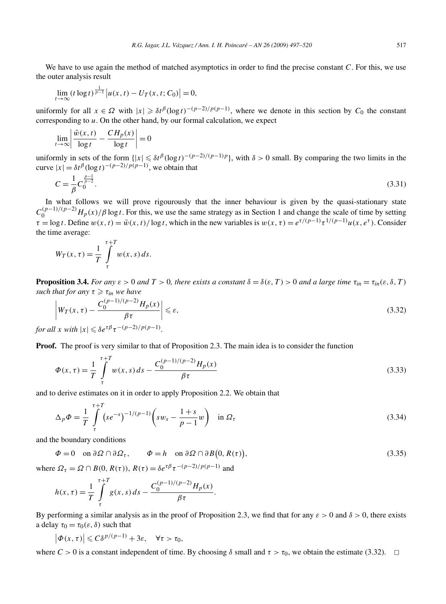We have to use again the method of matched asymptotics in order to find the precise constant *C*. For this, we use the outer analysis result

$$
\lim_{t \to \infty} (t \log t)^{\frac{1}{p-1}} |u(x, t) - U_T(x, t; C_0)| = 0,
$$

uniformly for all  $x \in \Omega$  with  $|x| \geq \delta t^{\beta} (\log t)^{-(p-2)/p(p-1)}$ , where we denote in this section by  $C_0$  the constant corresponding to *u*. On the other hand, by our formal calculation, we expect

$$
\lim_{t \to \infty} \left| \frac{\bar{w}(x, t)}{\log t} - \frac{CH_p(x)}{\log t} \right| = 0
$$

uniformly in sets of the form  $\{|x| \leq \delta t^{\beta}(\log t)^{-(p-2)/(p-1)p}\}$ , with  $\delta > 0$  small. By comparing the two limits in the curve  $|x| = \delta t^{\beta} (\log t)^{-(p-2)/p(p-1)}$ , we obtain that

$$
C = \frac{1}{\beta} C_0^{\frac{p-1}{p-2}}.
$$
\n(3.31)

In what follows we will prove rigourously that the inner behaviour is given by the quasi-stationary state  $C_0^{(p-1)/(p-2)}$  *H<sub>p</sub>*(*x*)/*β* log *t*. For this, we use the same strategy as in Section 1 and change the scale of time by setting  $\tau = \log t$ . Define  $w(x, t) = \bar{w}(x, t) / \log t$ , which in the new variables is  $w(x, \tau) = e^{\tau/(p-1)} \tau^{1/(p-1)} u(x, e^{\tau})$ . Consider the time average:

$$
W_T(x,\tau) = \frac{1}{T} \int_{\tau}^{\tau+T} w(x,s) \, ds.
$$

**Proposition 3.4.** *For any*  $\varepsilon > 0$  *and*  $T > 0$ *, there exists a constant*  $\delta = \delta(\varepsilon, T) > 0$  *and a large time*  $\tau_{in} = \tau_{in}(\varepsilon, \delta, T)$  $\mathit{such that for any}$   $\tau \geqslant \tau_{\mathit{in}}$  we have

$$
\left| W_T(x,\tau) - \frac{C_0^{(p-1)/(p-2)} H_p(x)}{\beta \tau} \right| \leq \varepsilon,
$$
\n(3.32)

*for all x with*  $|x| \leq \delta e^{\tau \beta} \tau^{-(p-2)/p(p-1)}$ .

**Proof.** The proof is very similar to that of Proposition 2.3. The main idea is to consider the function

$$
\Phi(x,\tau) = \frac{1}{T} \int_{\tau}^{\tau+T} w(x,s) \, ds - \frac{C_0^{(p-1)/(p-2)} H_p(x)}{\beta \tau} \tag{3.33}
$$

and to derive estimates on it in order to apply Proposition 2.2. We obtain that

$$
\Delta_p \Phi = \frac{1}{T} \int_{\tau}^{\tau+T} (se^{-s})^{-1/(p-1)} \left( sw_s - \frac{1+s}{p-1} w \right) \quad \text{in } \Omega_{\tau}
$$
\n
$$
(3.34)
$$

and the boundary conditions

$$
\Phi = 0 \quad \text{on } \partial \Omega \cap \partial \Omega_{\tau}, \qquad \Phi = h \quad \text{on } \partial \Omega \cap \partial B(0, R(\tau)), \tag{3.35}
$$

where  $\Omega_{\tau} = \Omega \cap B(0, R(\tau))$ ,  $R(\tau) = \delta e^{\tau \beta} \tau^{-(p-2)/p(p-1)}$  and

$$
h(x,\tau) = \frac{1}{T} \int_{\tau}^{\tau+T} g(x,s) \, ds - \frac{C_0^{(p-1)/(p-2)} H_p(x)}{\beta \tau}.
$$

By performing a similar analysis as in the proof of Proposition 2.3, we find that for any  $\varepsilon > 0$  and  $\delta > 0$ , there exists a delay  $\tau_0 = \tau_0(\varepsilon, \delta)$  such that

$$
\left|\Phi(x,\tau)\right|\leqslant C\delta^{p/(p-1)}+3\varepsilon,\quad \forall \tau>\tau_0,
$$

where  $C > 0$  is a constant independent of time. By choosing  $\delta$  small and  $\tau > \tau_0$ , we obtain the estimate (3.32).  $\Box$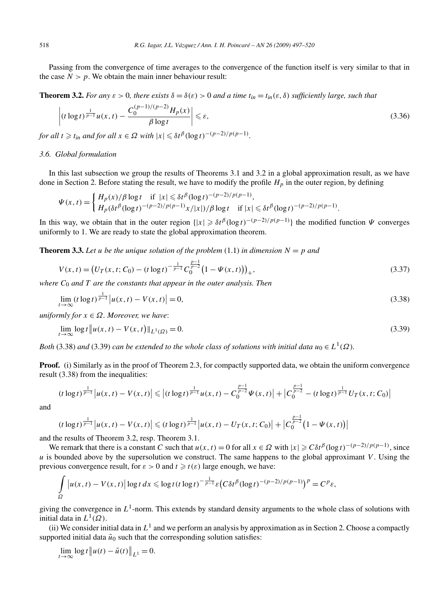Passing from the convergence of time averages to the convergence of the function itself is very similar to that in the case  $N > p$ . We obtain the main inner behaviour result:

**Theorem 3.2.** *For any*  $\varepsilon > 0$ *, there exists*  $\delta = \delta(\varepsilon) > 0$  *and a time*  $t_{in} = t_{in}(\varepsilon, \delta)$  *sufficiently large, such that* 

$$
\left| (t \log t)^{\frac{1}{p-1}} u(x,t) - \frac{C_0^{(p-1)/(p-2)} H_p(x)}{\beta \log t} \right| \leq \varepsilon,
$$
\n(3.36)

*for all*  $t \geq t_{in}$  *and for all*  $x \in \Omega$  *with*  $|x| \leq \delta t^{\beta} (\log t)^{-(p-2)/p(p-1)}$ .

## *3.6. Global formulation*

In this last subsection we group the results of Theorems 3.1 and 3.2 in a global approximation result, as we have done in Section 2. Before stating the result, we have to modify the profile *Hp* in the outer region, by defining

$$
\Psi(x,t) = \begin{cases} H_p(x)/\beta \log t & \text{if } |x| \leq \delta t^{\beta} (\log t)^{-(p-2)/p(p-1)}, \\ H_p(\delta t^{\beta} (\log t)^{-(p-2)/p(p-1)} x/|x|)/\beta \log t & \text{if } |x| \leq \delta t^{\beta} (\log t)^{-(p-2)/p(p-1)}. \end{cases}
$$

In this way, we obtain that in the outer region  $\{|x| \geq \delta t^{\beta} (\log t)^{-(p-2)/p(p-1)}\}$  the modified function  $\Psi$  converges uniformly to 1. We are ready to state the global approximation theorem.

**Theorem 3.3.** Let *u* be the unique solution of the problem  $(1.1)$  in dimension  $N = p$  and

$$
V(x,t) = (U_T(x,t;C_0) - (t \log t)^{-\frac{1}{p-1}} C_0^{\frac{p-1}{p-2}} (1 - \Psi(x,t)))_+,
$$
\n(3.37)

*where C*<sup>0</sup> *and T are the constants that appear in the outer analysis. Then*

$$
\lim_{t \to \infty} (t \log t)^{\frac{1}{p-1}} |u(x, t) - V(x, t)| = 0,
$$
\n(3.38)

*uniformly for*  $x \in \Omega$ *. Moreover, we have:* 

$$
\lim_{t \to \infty} \log t \| u(x, t) - V(x, t) \|_{L^1(\Omega)} = 0. \tag{3.39}
$$

*Both* (3.38) *and* (3.39) *can be extended to the whole class of solutions with initial data*  $u_0 \in L^1(\Omega)$ *.* 

**Proof.** (i) Similarly as in the proof of Theorem 2.3, for compactly supported data, we obtain the uniform convergence result (3.38) from the inequalities:

$$
(t\log t)^{\frac{1}{p-1}}\left|u(x,t)-V(x,t)\right|\leq \left|(t\log t)^{\frac{1}{p-1}}u(x,t)-C_0^{\frac{p-1}{p-2}}\Psi(x,t)\right|+\left|C_0^{\frac{p-1}{p-2}}-(t\log t)^{\frac{1}{p-1}}U_T(x,t;C_0)\right|
$$

and

$$
(t \log t)^{\frac{1}{p-1}} \left| u(x,t) - V(x,t) \right| \leq (t \log t)^{\frac{1}{p-1}} \left| u(x,t) - U_T(x,t;C_0) \right| + \left| C_0^{\frac{p-1}{p-2}} \left( 1 - \Psi(x,t) \right) \right|
$$

and the results of Theorem 3.2, resp. Theorem 3.1.

We remark that there is a constant *C* such that  $u(x, t) = 0$  for all  $x \in \Omega$  with  $|x| \geq C \delta t^{\beta} (\log t)^{-(p-2)/p(p-1)}$ , since *u* is bounded above by the supersolution we construct. The same happens to the global approximant *V* . Using the previous convergence result, for  $\varepsilon > 0$  and  $t \ge t(\varepsilon)$  large enough, we have:

$$
\int_{\Omega} \left| u(x,t) - V(x,t) \right| \log t \, dx \leqslant \log t \left( t \log t \right)^{-\frac{1}{p-1}} \varepsilon \left( C \delta t^{\beta} (\log t)^{-(p-2)/p(p-1)} \right)^p = C^p \varepsilon,
$$

giving the convergence in  $L^1$ -norm. This extends by standard density arguments to the whole class of solutions with initial data in  $L^1(\Omega)$ .

(ii) We consider initial data in  $L^1$  and we perform an analysis by approximation as in Section 2. Choose a compactly supported initial data  $\tilde{u}_0$  such that the corresponding solution satisfies:

$$
\lim_{t \to \infty} \log t \, \big\| u(t) - \tilde{u}(t) \big\|_{L^1} = 0.
$$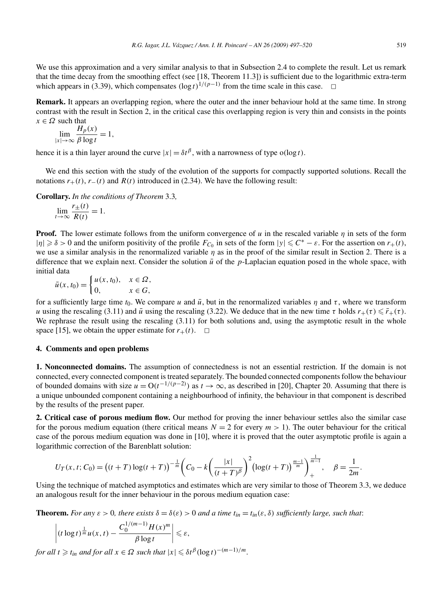We use this approximation and a very similar analysis to that in Subsection 2.4 to complete the result. Let us remark that the time decay from the smoothing effect (see [18, Theorem 11.3]) is sufficient due to the logarithmic extra-term which appears in (3.39), which compensates  $(\log t)^{1/(p-1)}$  from the time scale in this case.  $\Box$ 

**Remark.** It appears an overlapping region, where the outer and the inner behaviour hold at the same time. In strong contrast with the result in Section 2, in the critical case this overlapping region is very thin and consists in the points  $x \in \Omega$  such that

$$
\lim_{|x| \to \infty} \frac{H_p(x)}{\beta \log t} = 1,
$$

hence it is a thin layer around the curve  $|x| = \delta t^{\beta}$ , with a narrowness of type  $o(\log t)$ .

We end this section with the study of the evolution of the supports for compactly supported solutions. Recall the notations  $r_{+}(t)$ ,  $r_{-}(t)$  and  $R(t)$  introduced in (2.34). We have the following result:

**Corollary.** *In the conditions of Theorem* 3.3*,*

$$
\lim_{t \to \infty} \frac{r_{\pm}(t)}{R(t)} = 1.
$$

**Proof.** The lower estimate follows from the uniform convergence of *u* in the rescaled variable *η* in sets of the form  $|\eta|$  ≥  $\delta$  > 0 and the uniform positivity of the profile  $F_{C_0}$  in sets of the form  $|y|$  ≤  $C^* - \varepsilon$ . For the assertion on  $r_+(t)$ , we use a similar analysis in the renormalized variable *η* as in the proof of the similar result in Section 2. There is a difference that we explain next. Consider the solution  $\bar{u}$  of the *p*-Laplacian equation posed in the whole space, with initial data

$$
\bar{u}(x,t_0) = \begin{cases} u(x,t_0), & x \in \Omega, \\ 0, & x \in G, \end{cases}
$$

for a sufficiently large time  $t_0$ . We compare *u* and  $\bar{u}$ , but in the renormalized variables  $\eta$  and  $\tau$ , where we transform *u* using the rescaling (3.11) and  $\bar{u}$  using the rescaling (3.22). We deduce that in the new time  $\tau$  holds  $r_+(\tau) \leq \bar{r}_+(\tau)$ . We rephrase the result using the rescaling (3.11) for both solutions and, using the asymptotic result in the whole space [15], we obtain the upper estimate for  $r_{+}(t)$ .  $\Box$ 

# **4. Comments and open problems**

**1. Nonconnected domains.** The assumption of connectedness is not an essential restriction. If the domain is not connected, every connected component is treated separately. The bounded connected components follow the behaviour of bounded domains with size  $u = O(t^{-1/(p-2)})$  as  $t \to \infty$ , as described in [20], Chapter 20. Assuming that there is a unique unbounded component containing a neighbourhood of infinity, the behaviour in that component is described by the results of the present paper.

**2. Critical case of porous medium flow.** Our method for proving the inner behaviour settles also the similar case for the porous medium equation (there critical means  $N = 2$  for every  $m > 1$ ). The outer behaviour for the critical case of the porous medium equation was done in [10], where it is proved that the outer asymptotic profile is again a logarithmic correction of the Barenblatt solution:

$$
U_T(x,t;C_0) = ((t+T)\log(t+T))^{-\frac{1}{m}} \left(C_0 - k\left(\frac{|x|}{(t+T)^{\beta}}\right)^2 \left(\log(t+T)\right)^{\frac{m-1}{m}}\right)_{+}^{\frac{1}{m-1}}, \quad \beta = \frac{1}{2m}.
$$

Using the technique of matched asymptotics and estimates which are very similar to those of Theorem 3.3, we deduce an analogous result for the inner behaviour in the porous medium equation case:

**Theorem.** For any  $\varepsilon > 0$ , there exists  $\delta = \delta(\varepsilon) > 0$  and a time  $t_{in} = t_{in}(\varepsilon, \delta)$  sufficiently large, such that:

$$
\left| (t \log t)^{\frac{1}{m}} u(x,t) - \frac{C_0^{1/(m-1)} H(x)^m}{\beta \log t} \right| \leqslant \varepsilon,
$$

*for all*  $t \ge t$ <sub>in</sub> and for all  $x \in \Omega$  such that  $|x| \leq \delta t^{\beta} (\log t)^{-(m-1)/m}$ .